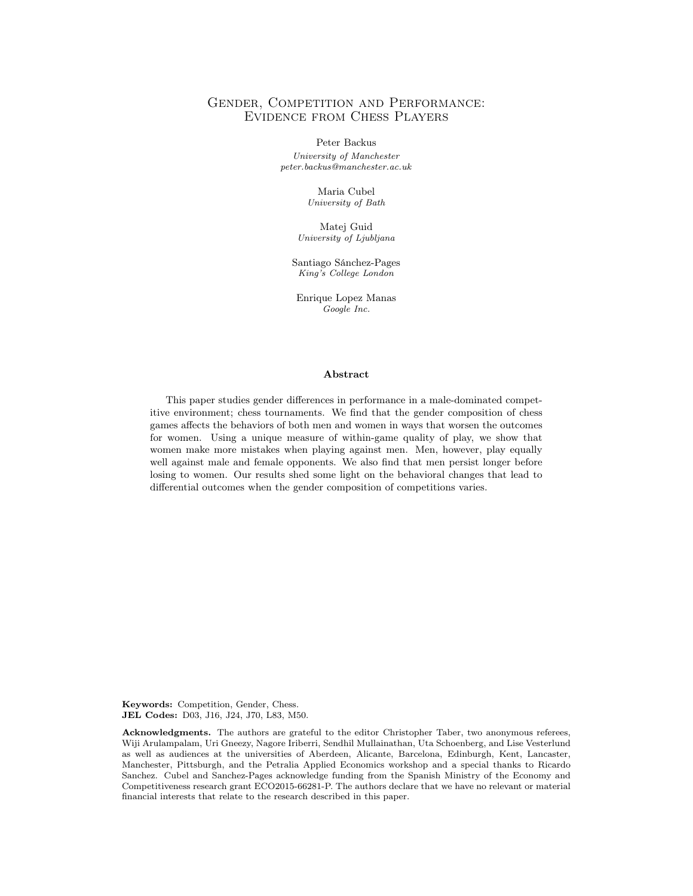## Gender, Competition and Performance: Evidence from Chess Players

Peter Backus

University of Manchester peter.backus@manchester.ac.uk

> Maria Cubel University of Bath

Matej Guid University of Ljubljana

Santiago Sánchez-Pages King's College London

Enrique Lopez Manas Google Inc.

#### Abstract

This paper studies gender differences in performance in a male-dominated competitive environment; chess tournaments. We find that the gender composition of chess games affects the behaviors of both men and women in ways that worsen the outcomes for women. Using a unique measure of within-game quality of play, we show that women make more mistakes when playing against men. Men, however, play equally well against male and female opponents. We also find that men persist longer before losing to women. Our results shed some light on the behavioral changes that lead to differential outcomes when the gender composition of competitions varies.

Keywords: Competition, Gender, Chess. JEL Codes: D03, J16, J24, J70, L83, M50.

Acknowledgments. The authors are grateful to the editor Christopher Taber, two anonymous referees, Wiji Arulampalam, Uri Gneezy, Nagore Iriberri, Sendhil Mullainathan, Uta Schoenberg, and Lise Vesterlund as well as audiences at the universities of Aberdeen, Alicante, Barcelona, Edinburgh, Kent, Lancaster, Manchester, Pittsburgh, and the Petralia Applied Economics workshop and a special thanks to Ricardo Sanchez. Cubel and Sanchez-Pages acknowledge funding from the Spanish Ministry of the Economy and Competitiveness research grant ECO2015-66281-P. The authors declare that we have no relevant or material financial interests that relate to the research described in this paper.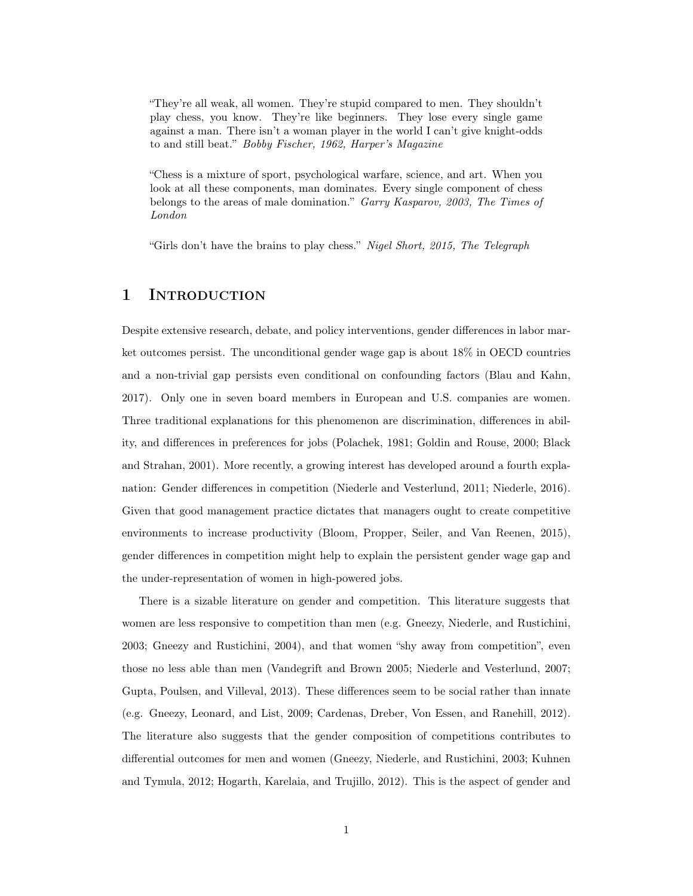"They're all weak, all women. They're stupid compared to men. They shouldn't play chess, you know. They're like beginners. They lose every single game against a man. There isn't a woman player in the world I can't give knight-odds to and still beat." Bobby Fischer, 1962, Harper's Magazine

"Chess is a mixture of sport, psychological warfare, science, and art. When you look at all these components, man dominates. Every single component of chess belongs to the areas of male domination." Garry Kasparov, 2003, The Times of London

"Girls don't have the brains to play chess." Nigel Short, 2015, The Telegraph

# 1 INTRODUCTION

Despite extensive research, debate, and policy interventions, gender differences in labor market outcomes persist. The unconditional gender wage gap is about 18% in OECD countries and a non-trivial gap persists even conditional on confounding factors (Blau and Kahn, 2017). Only one in seven board members in European and U.S. companies are women. Three traditional explanations for this phenomenon are discrimination, differences in ability, and differences in preferences for jobs (Polachek, 1981; Goldin and Rouse, 2000; Black and Strahan, 2001). More recently, a growing interest has developed around a fourth explanation: Gender differences in competition (Niederle and Vesterlund, 2011; Niederle, 2016). Given that good management practice dictates that managers ought to create competitive environments to increase productivity (Bloom, Propper, Seiler, and Van Reenen, 2015), gender differences in competition might help to explain the persistent gender wage gap and the under-representation of women in high-powered jobs.

There is a sizable literature on gender and competition. This literature suggests that women are less responsive to competition than men (e.g. Gneezy, Niederle, and Rustichini, 2003; Gneezy and Rustichini, 2004), and that women "shy away from competition", even those no less able than men (Vandegrift and Brown 2005; Niederle and Vesterlund, 2007; Gupta, Poulsen, and Villeval, 2013). These differences seem to be social rather than innate (e.g. Gneezy, Leonard, and List, 2009; Cardenas, Dreber, Von Essen, and Ranehill, 2012). The literature also suggests that the gender composition of competitions contributes to differential outcomes for men and women (Gneezy, Niederle, and Rustichini, 2003; Kuhnen and Tymula, 2012; Hogarth, Karelaia, and Trujillo, 2012). This is the aspect of gender and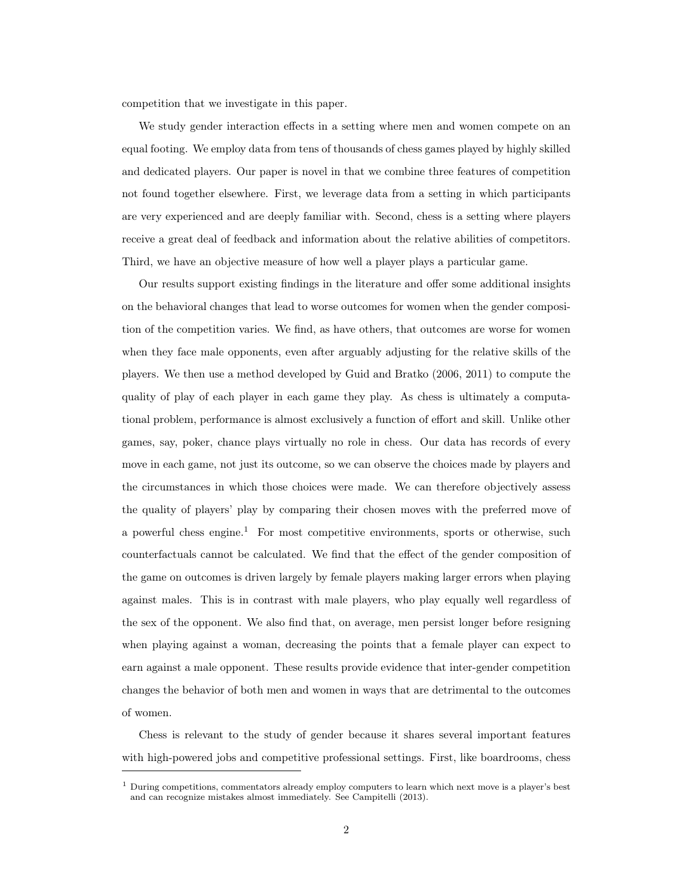competition that we investigate in this paper.

We study gender interaction effects in a setting where men and women compete on an equal footing. We employ data from tens of thousands of chess games played by highly skilled and dedicated players. Our paper is novel in that we combine three features of competition not found together elsewhere. First, we leverage data from a setting in which participants are very experienced and are deeply familiar with. Second, chess is a setting where players receive a great deal of feedback and information about the relative abilities of competitors. Third, we have an objective measure of how well a player plays a particular game.

Our results support existing findings in the literature and offer some additional insights on the behavioral changes that lead to worse outcomes for women when the gender composition of the competition varies. We find, as have others, that outcomes are worse for women when they face male opponents, even after arguably adjusting for the relative skills of the players. We then use a method developed by Guid and Bratko (2006, 2011) to compute the quality of play of each player in each game they play. As chess is ultimately a computational problem, performance is almost exclusively a function of effort and skill. Unlike other games, say, poker, chance plays virtually no role in chess. Our data has records of every move in each game, not just its outcome, so we can observe the choices made by players and the circumstances in which those choices were made. We can therefore objectively assess the quality of players' play by comparing their chosen moves with the preferred move of a powerful chess engine.<sup>1</sup> For most competitive environments, sports or otherwise, such counterfactuals cannot be calculated. We find that the effect of the gender composition of the game on outcomes is driven largely by female players making larger errors when playing against males. This is in contrast with male players, who play equally well regardless of the sex of the opponent. We also find that, on average, men persist longer before resigning when playing against a woman, decreasing the points that a female player can expect to earn against a male opponent. These results provide evidence that inter-gender competition changes the behavior of both men and women in ways that are detrimental to the outcomes of women.

Chess is relevant to the study of gender because it shares several important features with high-powered jobs and competitive professional settings. First, like boardrooms, chess

 $1$  During competitions, commentators already employ computers to learn which next move is a player's best and can recognize mistakes almost immediately. See Campitelli (2013).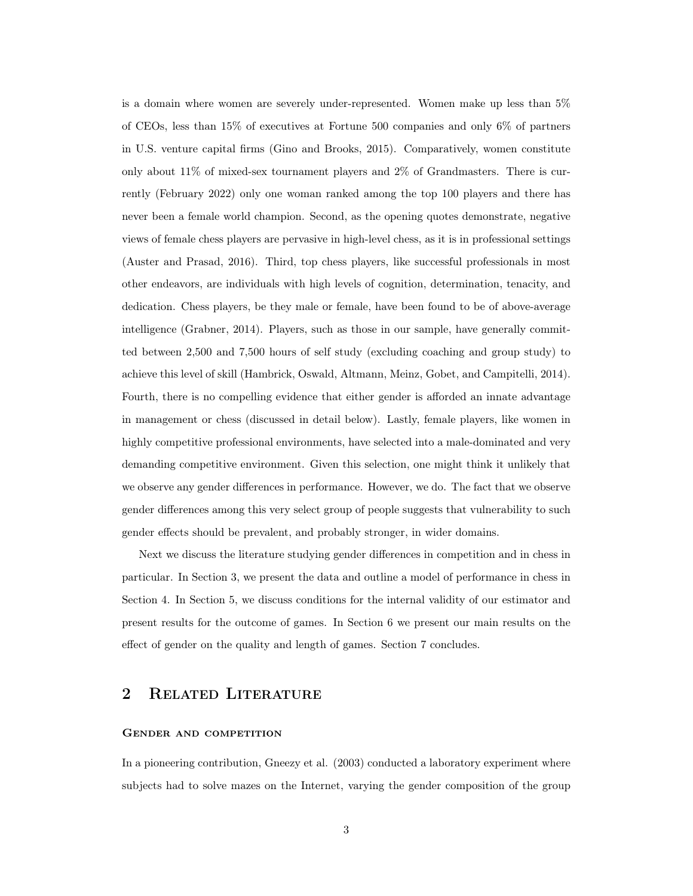is a domain where women are severely under-represented. Women make up less than 5% of CEOs, less than 15% of executives at Fortune 500 companies and only 6% of partners in U.S. venture capital firms (Gino and Brooks, 2015). Comparatively, women constitute only about 11% of mixed-sex tournament players and 2% of Grandmasters. There is currently (February 2022) only one woman ranked among the top 100 players and there has never been a female world champion. Second, as the opening quotes demonstrate, negative views of female chess players are pervasive in high-level chess, as it is in professional settings (Auster and Prasad, 2016). Third, top chess players, like successful professionals in most other endeavors, are individuals with high levels of cognition, determination, tenacity, and dedication. Chess players, be they male or female, have been found to be of above-average intelligence (Grabner, 2014). Players, such as those in our sample, have generally committed between 2,500 and 7,500 hours of self study (excluding coaching and group study) to achieve this level of skill (Hambrick, Oswald, Altmann, Meinz, Gobet, and Campitelli, 2014). Fourth, there is no compelling evidence that either gender is afforded an innate advantage in management or chess (discussed in detail below). Lastly, female players, like women in highly competitive professional environments, have selected into a male-dominated and very demanding competitive environment. Given this selection, one might think it unlikely that we observe any gender differences in performance. However, we do. The fact that we observe gender differences among this very select group of people suggests that vulnerability to such gender effects should be prevalent, and probably stronger, in wider domains.

Next we discuss the literature studying gender differences in competition and in chess in particular. In Section 3, we present the data and outline a model of performance in chess in Section 4. In Section 5, we discuss conditions for the internal validity of our estimator and present results for the outcome of games. In Section 6 we present our main results on the effect of gender on the quality and length of games. Section 7 concludes.

## 2 Related Literature

## Gender and competition

In a pioneering contribution, Gneezy et al. (2003) conducted a laboratory experiment where subjects had to solve mazes on the Internet, varying the gender composition of the group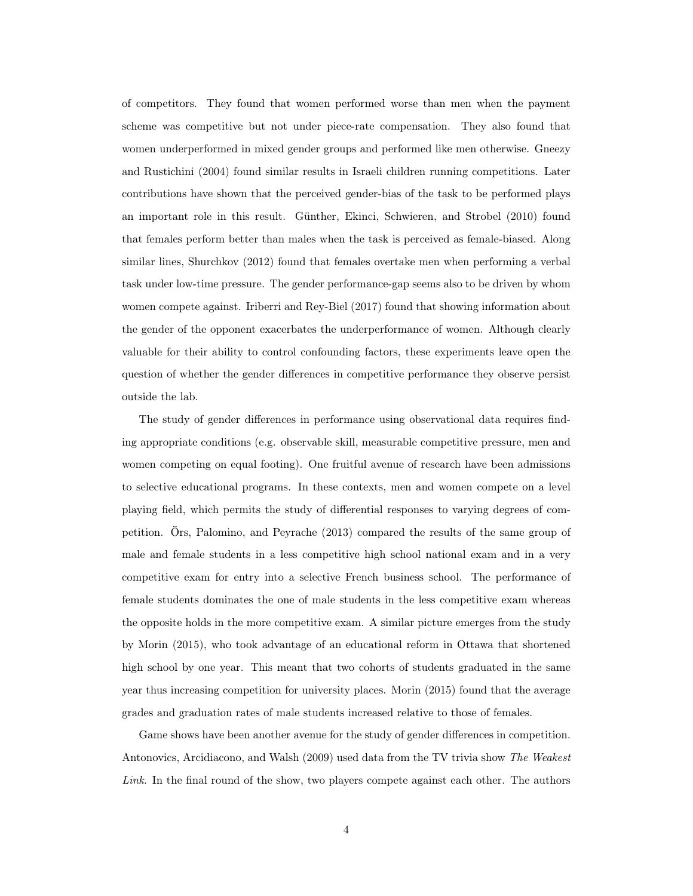of competitors. They found that women performed worse than men when the payment scheme was competitive but not under piece-rate compensation. They also found that women underperformed in mixed gender groups and performed like men otherwise. Gneezy and Rustichini (2004) found similar results in Israeli children running competitions. Later contributions have shown that the perceived gender-bias of the task to be performed plays an important role in this result. Günther, Ekinci, Schwieren, and Strobel (2010) found that females perform better than males when the task is perceived as female-biased. Along similar lines, Shurchkov (2012) found that females overtake men when performing a verbal task under low-time pressure. The gender performance-gap seems also to be driven by whom women compete against. Iriberri and Rey-Biel (2017) found that showing information about the gender of the opponent exacerbates the underperformance of women. Although clearly valuable for their ability to control confounding factors, these experiments leave open the question of whether the gender differences in competitive performance they observe persist outside the lab.

The study of gender differences in performance using observational data requires finding appropriate conditions (e.g. observable skill, measurable competitive pressure, men and women competing on equal footing). One fruitful avenue of research have been admissions to selective educational programs. In these contexts, men and women compete on a level playing field, which permits the study of differential responses to varying degrees of competition. Örs, Palomino, and Peyrache (2013) compared the results of the same group of male and female students in a less competitive high school national exam and in a very competitive exam for entry into a selective French business school. The performance of female students dominates the one of male students in the less competitive exam whereas the opposite holds in the more competitive exam. A similar picture emerges from the study by Morin (2015), who took advantage of an educational reform in Ottawa that shortened high school by one year. This meant that two cohorts of students graduated in the same year thus increasing competition for university places. Morin (2015) found that the average grades and graduation rates of male students increased relative to those of females.

Game shows have been another avenue for the study of gender differences in competition. Antonovics, Arcidiacono, and Walsh (2009) used data from the TV trivia show The Weakest Link. In the final round of the show, two players compete against each other. The authors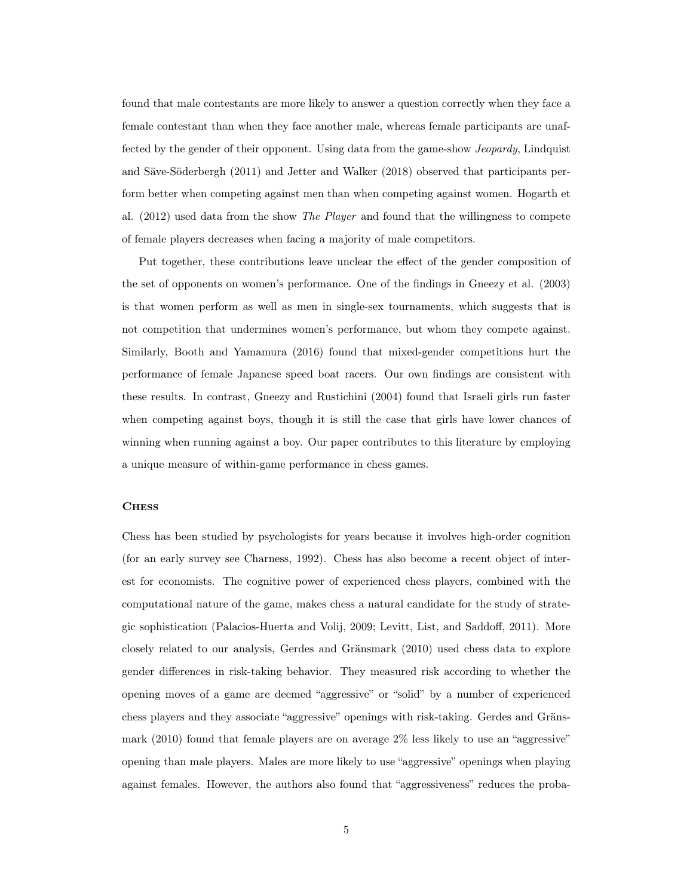found that male contestants are more likely to answer a question correctly when they face a female contestant than when they face another male, whereas female participants are unaffected by the gender of their opponent. Using data from the game-show Jeopardy, Lindquist and Säve-Söderbergh (2011) and Jetter and Walker (2018) observed that participants perform better when competing against men than when competing against women. Hogarth et al. (2012) used data from the show The Player and found that the willingness to compete of female players decreases when facing a majority of male competitors.

Put together, these contributions leave unclear the effect of the gender composition of the set of opponents on women's performance. One of the findings in Gneezy et al. (2003) is that women perform as well as men in single-sex tournaments, which suggests that is not competition that undermines women's performance, but whom they compete against. Similarly, Booth and Yamamura (2016) found that mixed-gender competitions hurt the performance of female Japanese speed boat racers. Our own findings are consistent with these results. In contrast, Gneezy and Rustichini (2004) found that Israeli girls run faster when competing against boys, though it is still the case that girls have lower chances of winning when running against a boy. Our paper contributes to this literature by employing a unique measure of within-game performance in chess games.

#### **CHESS**

Chess has been studied by psychologists for years because it involves high-order cognition (for an early survey see Charness, 1992). Chess has also become a recent object of interest for economists. The cognitive power of experienced chess players, combined with the computational nature of the game, makes chess a natural candidate for the study of strategic sophistication (Palacios-Huerta and Volij, 2009; Levitt, List, and Saddoff, 2011). More closely related to our analysis, Gerdes and Gränsmark (2010) used chess data to explore gender differences in risk-taking behavior. They measured risk according to whether the opening moves of a game are deemed "aggressive" or "solid" by a number of experienced chess players and they associate "aggressive" openings with risk-taking. Gerdes and Gränsmark (2010) found that female players are on average 2% less likely to use an "aggressive" opening than male players. Males are more likely to use "aggressive" openings when playing against females. However, the authors also found that "aggressiveness" reduces the proba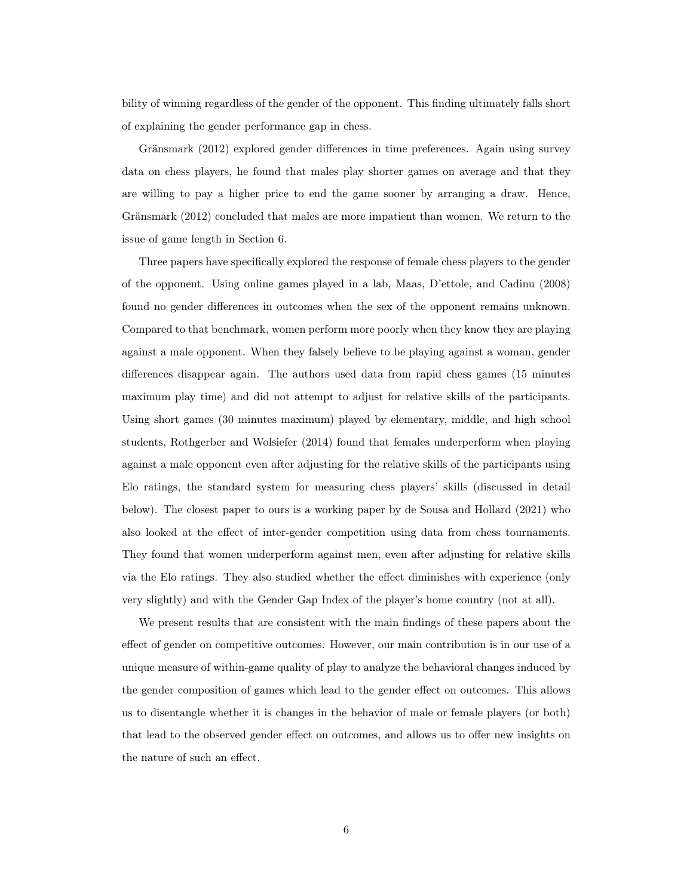bility of winning regardless of the gender of the opponent. This finding ultimately falls short of explaining the gender performance gap in chess.

Gränsmark (2012) explored gender differences in time preferences. Again using survey data on chess players, he found that males play shorter games on average and that they are willing to pay a higher price to end the game sooner by arranging a draw. Hence, Gränsmark (2012) concluded that males are more impatient than women. We return to the issue of game length in Section 6.

Three papers have specifically explored the response of female chess players to the gender of the opponent. Using online games played in a lab, Maas, D'ettole, and Cadinu (2008) found no gender differences in outcomes when the sex of the opponent remains unknown. Compared to that benchmark, women perform more poorly when they know they are playing against a male opponent. When they falsely believe to be playing against a woman, gender differences disappear again. The authors used data from rapid chess games (15 minutes maximum play time) and did not attempt to adjust for relative skills of the participants. Using short games (30 minutes maximum) played by elementary, middle, and high school students, Rothgerber and Wolsiefer (2014) found that females underperform when playing against a male opponent even after adjusting for the relative skills of the participants using Elo ratings, the standard system for measuring chess players' skills (discussed in detail below). The closest paper to ours is a working paper by de Sousa and Hollard (2021) who also looked at the effect of inter-gender competition using data from chess tournaments. They found that women underperform against men, even after adjusting for relative skills via the Elo ratings. They also studied whether the effect diminishes with experience (only very slightly) and with the Gender Gap Index of the player's home country (not at all).

We present results that are consistent with the main findings of these papers about the effect of gender on competitive outcomes. However, our main contribution is in our use of a unique measure of within-game quality of play to analyze the behavioral changes induced by the gender composition of games which lead to the gender effect on outcomes. This allows us to disentangle whether it is changes in the behavior of male or female players (or both) that lead to the observed gender effect on outcomes, and allows us to offer new insights on the nature of such an effect.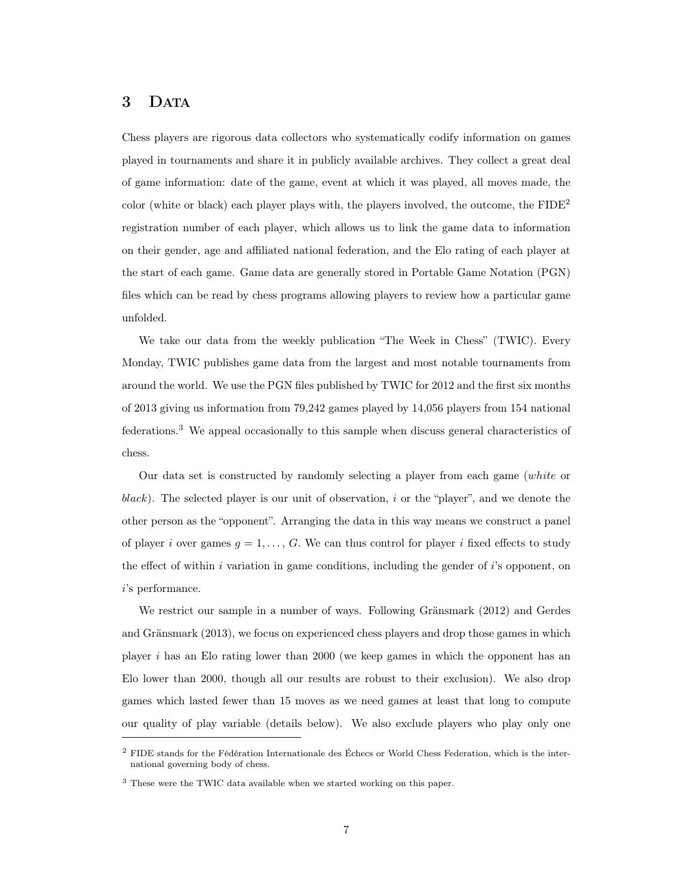## 3 DATA

Chess players are rigorous data collectors who systematically codify information on games played in tournaments and share it in publicly available archives. They collect a great deal of game information: date of the game, event at which it was played, all moves made, the color (white or black) each player plays with, the players involved, the outcome, the FIDE<sup>2</sup> registration number of each player, which allows us to link the game data to information on their gender, age and affiliated national federation, and the Elo rating of each player at the start of each game. Game data are generally stored in Portable Game Notation (PGN) files which can be read by chess programs allowing players to review how a particular game unfolded.

We take our data from the weekly publication "The Week in Chess" (TWIC). Every Monday, TWIC publishes game data from the largest and most notable tournaments from around the world. We use the PGN files published by TWIC for 2012 and the first six months of 2013 giving us information from 79,242 games played by 14,056 players from 154 national federations.<sup>3</sup> We appeal occasionally to this sample when discuss general characteristics of chess.

Our data set is constructed by randomly selecting a player from each game (white or black). The selected player is our unit of observation, i or the "player", and we denote the other person as the "opponent". Arranging the data in this way means we construct a panel of player i over games  $g = 1, \ldots, G$ . We can thus control for player i fixed effects to study the effect of within  $i$  variation in game conditions, including the gender of  $i$ 's opponent, on i's performance.

We restrict our sample in a number of ways. Following Gränsmark (2012) and Gerdes and Gränsmark (2013), we focus on experienced chess players and drop those games in which player i has an Elo rating lower than 2000 (we keep games in which the opponent has an Elo lower than 2000, though all our results are robust to their exclusion). We also drop games which lasted fewer than 15 moves as we need games at least that long to compute our quality of play variable (details below). We also exclude players who play only one

<sup>2</sup> FIDE stands for the Fédération Internationale des Échecs or World Chess Federation, which is the international governing body of chess.

<sup>&</sup>lt;sup>3</sup> These were the TWIC data available when we started working on this paper.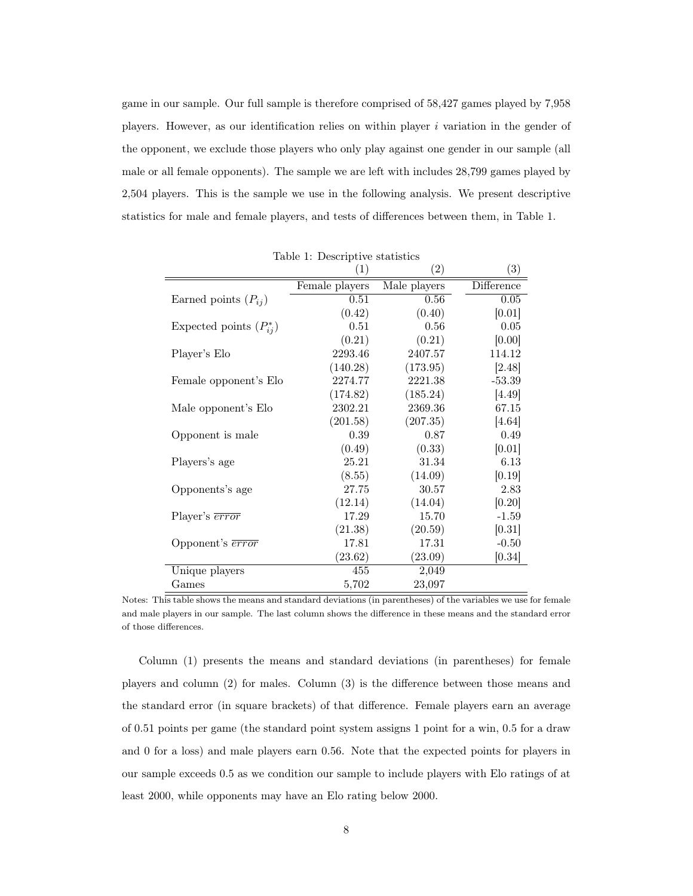game in our sample. Our full sample is therefore comprised of 58,427 games played by 7,958 players. However, as our identification relies on within player  $i$  variation in the gender of the opponent, we exclude those players who only play against one gender in our sample (all male or all female opponents). The sample we are left with includes 28,799 games played by 2,504 players. This is the sample we use in the following analysis. We present descriptive statistics for male and female players, and tests of differences between them, in Table 1.

|                              | (1)            | $\left( 2\right)$ | $\left( 3\right)$ |
|------------------------------|----------------|-------------------|-------------------|
|                              | Female players | Male players      | Difference        |
| Earned points $(P_{ij})$     | 0.51           | 0.56              | 0.05              |
|                              | (0.42)         | (0.40)            | [0.01]            |
| Expected points $(P_{ii}^*)$ | 0.51           | 0.56              | 0.05              |
|                              | (0.21)         | (0.21)            | [0.00]            |
| Player's Elo                 | 2293.46        | 2407.57           | 114.12            |
|                              | (140.28)       | (173.95)          | [2.48]            |
| Female opponent's Elo        | 2274.77        | 2221.38           | $-53.39$          |
|                              | (174.82)       | (185.24)          | [4.49]            |
| Male opponent's Elo          | 2302.21        | 2369.36           | 67.15             |
|                              | (201.58)       | (207.35)          | [4.64]            |
| Opponent is male             | 0.39           | 0.87              | 0.49              |
|                              | (0.49)         | (0.33)            | [0.01]            |
| Players's age                | 25.21          | 31.34             | 6.13              |
|                              | (8.55)         | (14.09)           | [0.19]            |
| Opponents's age              | 27.75          | 30.57             | 2.83              |
|                              | (12.14)        | (14.04)           | [0.20]            |
| Player's $\overline{error}$  | 17.29          | 15.70             | $-1.59$           |
|                              | (21.38)        | (20.59)           | [0.31]            |
| Opponent's <b>error</b>      | 17.81          | 17.31             | $-0.50$           |
|                              | (23.62)        | (23.09)           | [0.34]            |
| Unique players               | 455            | 2,049             |                   |
| Games                        | 5,702          | 23,097            |                   |

Table 1: Descriptive statistics

Notes: This table shows the means and standard deviations (in parentheses) of the variables we use for female and male players in our sample. The last column shows the difference in these means and the standard error of those differences.

Column (1) presents the means and standard deviations (in parentheses) for female players and column (2) for males. Column (3) is the difference between those means and the standard error (in square brackets) of that difference. Female players earn an average of 0.51 points per game (the standard point system assigns 1 point for a win, 0.5 for a draw and 0 for a loss) and male players earn 0.56. Note that the expected points for players in our sample exceeds 0.5 as we condition our sample to include players with Elo ratings of at least 2000, while opponents may have an Elo rating below 2000.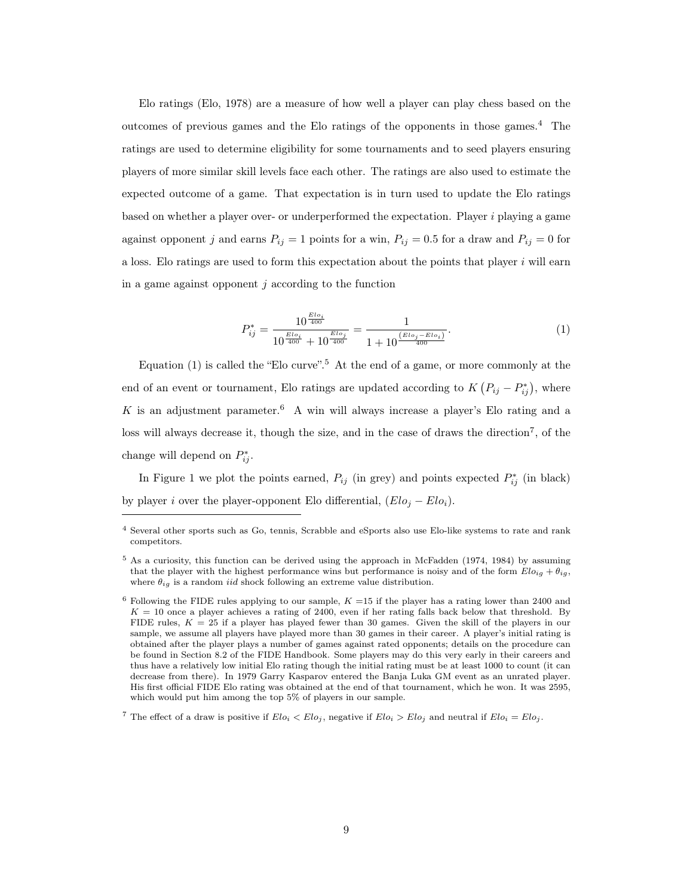Elo ratings (Elo, 1978) are a measure of how well a player can play chess based on the outcomes of previous games and the Elo ratings of the opponents in those games.<sup>4</sup> The ratings are used to determine eligibility for some tournaments and to seed players ensuring players of more similar skill levels face each other. The ratings are also used to estimate the expected outcome of a game. That expectation is in turn used to update the Elo ratings based on whether a player over- or underperformed the expectation. Player  $i$  playing a game against opponent j and earns  $P_{ij} = 1$  points for a win,  $P_{ij} = 0.5$  for a draw and  $P_{ij} = 0$  for a loss. Elo ratings are used to form this expectation about the points that player i will earn in a game against opponent  $i$  according to the function

$$
P_{ij}^* = \frac{10^{\frac{Elo_i}{400}}}{10^{\frac{Elo_i}{400}} + 10^{\frac{Elo_j}{400}}} = \frac{1}{1 + 10^{\frac{(Elo_j - Elo_i)}{400}}}.
$$
\n(1)

Equation (1) is called the "Elo curve".<sup>5</sup> At the end of a game, or more commonly at the end of an event or tournament, Elo ratings are updated according to  $K(P_{ij} - P_{ij}^*)$ , where K is an adjustment parameter.<sup>6</sup> A win will always increase a player's Elo rating and a loss will always decrease it, though the size, and in the case of draws the direction<sup>7</sup>, of the change will depend on  $P_{ij}^*$ .

In Figure 1 we plot the points earned,  $P_{ij}$  (in grey) and points expected  $P_{ij}^*$  (in black) by player i over the player-opponent Elo differential,  $(Elo_j - Elo_i)$ .

<sup>4</sup> Several other sports such as Go, tennis, Scrabble and eSports also use Elo-like systems to rate and rank competitors.

<sup>&</sup>lt;sup>5</sup> As a curiosity, this function can be derived using the approach in McFadden (1974, 1984) by assuming that the player with the highest performance wins but performance is noisy and of the form  $Elo_{ig} + \theta_{ig}$ , where  $\theta_{iq}$  is a random *iid* shock following an extreme value distribution.

<sup>&</sup>lt;sup>6</sup> Following the FIDE rules applying to our sample,  $K = 15$  if the player has a rating lower than 2400 and  $K = 10$  once a player achieves a rating of 2400, even if her rating falls back below that threshold. By FIDE rules,  $K = 25$  if a player has played fewer than 30 games. Given the skill of the players in our sample, we assume all players have played more than 30 games in their career. A player's initial rating is obtained after the player plays a number of games against rated opponents; details on the procedure can be found in Section 8.2 of the FIDE Handbook. Some players may do this very early in their careers and thus have a relatively low initial Elo rating though the initial rating must be at least 1000 to count (it can decrease from there). In 1979 Garry Kasparov entered the Banja Luka GM event as an unrated player. His first official FIDE Elo rating was obtained at the end of that tournament, which he won. It was 2595, which would put him among the top 5% of players in our sample.

<sup>&</sup>lt;sup>7</sup> The effect of a draw is positive if  $Elo_i < Elo_j$ , negative if  $Elo_i > Elo_j$  and neutral if  $Elo_i = Elo_j$ .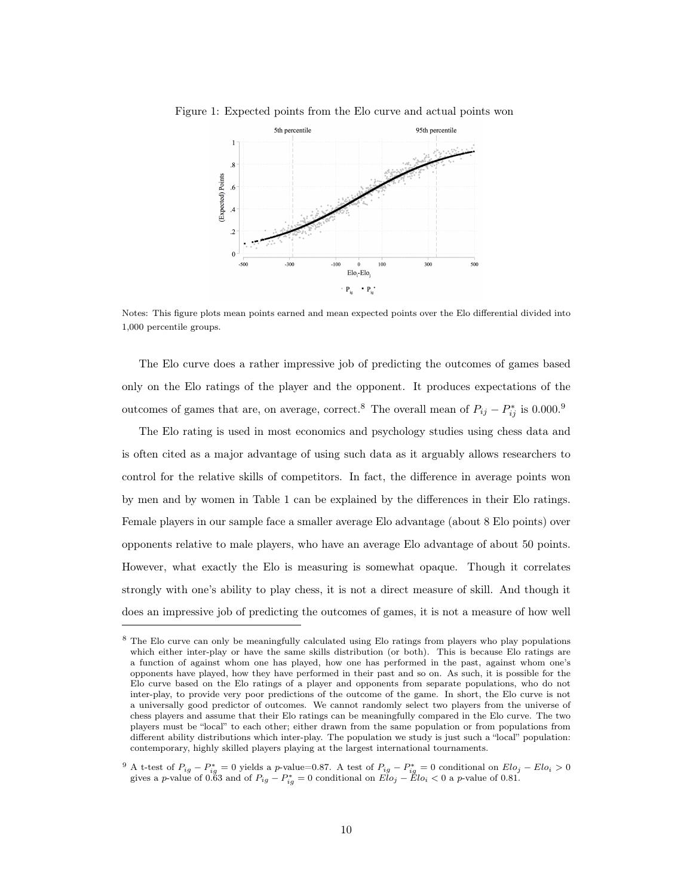

Figure 1: Expected points from the Elo curve and actual points won

Notes: This figure plots mean points earned and mean expected points over the Elo differential divided into 1,000 percentile groups.

The Elo curve does a rather impressive job of predicting the outcomes of games based only on the Elo ratings of the player and the opponent. It produces expectations of the outcomes of games that are, on average, correct.<sup>8</sup> The overall mean of  $P_{ij} - P_{ij}^*$  is 0.000.<sup>9</sup>

The Elo rating is used in most economics and psychology studies using chess data and is often cited as a major advantage of using such data as it arguably allows researchers to control for the relative skills of competitors. In fact, the difference in average points won by men and by women in Table 1 can be explained by the differences in their Elo ratings. Female players in our sample face a smaller average Elo advantage (about 8 Elo points) over opponents relative to male players, who have an average Elo advantage of about 50 points. However, what exactly the Elo is measuring is somewhat opaque. Though it correlates strongly with one's ability to play chess, it is not a direct measure of skill. And though it does an impressive job of predicting the outcomes of games, it is not a measure of how well

<sup>8</sup> The Elo curve can only be meaningfully calculated using Elo ratings from players who play populations which either inter-play or have the same skills distribution (or both). This is because Elo ratings are a function of against whom one has played, how one has performed in the past, against whom one's opponents have played, how they have performed in their past and so on. As such, it is possible for the Elo curve based on the Elo ratings of a player and opponents from separate populations, who do not inter-play, to provide very poor predictions of the outcome of the game. In short, the Elo curve is not a universally good predictor of outcomes. We cannot randomly select two players from the universe of chess players and assume that their Elo ratings can be meaningfully compared in the Elo curve. The two players must be "local" to each other; either drawn from the same population or from populations from different ability distributions which inter-play. The population we study is just such a "local" population: contemporary, highly skilled players playing at the largest international tournaments.

<sup>&</sup>lt;sup>9</sup> A t-test of  $P_{ig} - P_{ig}^* = 0$  yields a p-value=0.87. A test of  $P_{ig} - P_{ig}^* = 0$  conditional on  $Elo_j - Elo_i > 0$ gives a p-value of 0.63 and of  $P_{ig} - P_{ig}^* = 0$  conditional on  $Elo_j - Elo_i < 0$  a p-value of 0.81.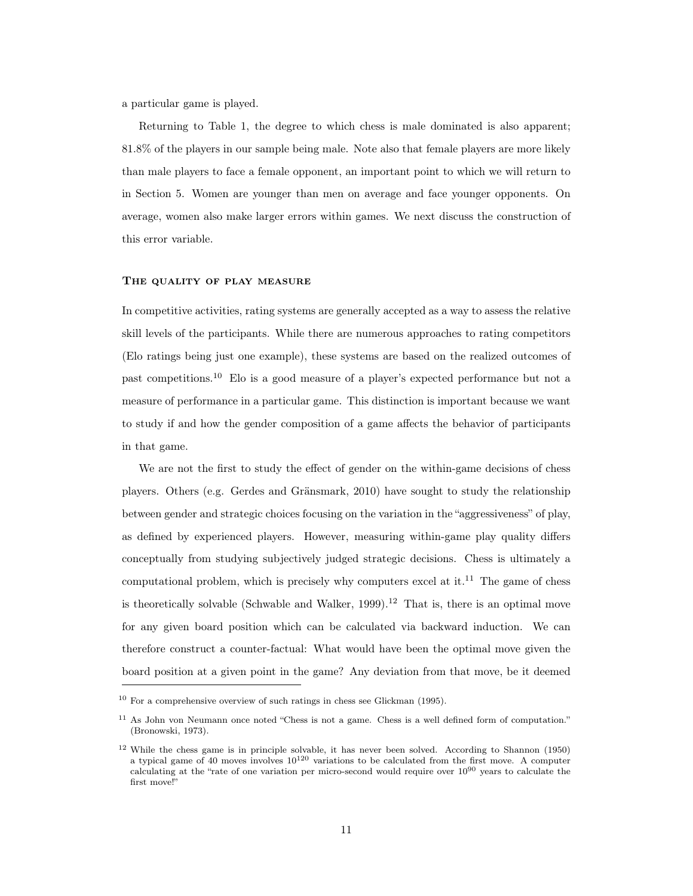a particular game is played.

Returning to Table 1, the degree to which chess is male dominated is also apparent; 81.8% of the players in our sample being male. Note also that female players are more likely than male players to face a female opponent, an important point to which we will return to in Section 5. Women are younger than men on average and face younger opponents. On average, women also make larger errors within games. We next discuss the construction of this error variable.

## THE QUALITY OF PLAY MEASURE

In competitive activities, rating systems are generally accepted as a way to assess the relative skill levels of the participants. While there are numerous approaches to rating competitors (Elo ratings being just one example), these systems are based on the realized outcomes of past competitions.<sup>10</sup> Elo is a good measure of a player's expected performance but not a measure of performance in a particular game. This distinction is important because we want to study if and how the gender composition of a game affects the behavior of participants in that game.

We are not the first to study the effect of gender on the within-game decisions of chess players. Others (e.g. Gerdes and Gränsmark, 2010) have sought to study the relationship between gender and strategic choices focusing on the variation in the "aggressiveness" of play, as defined by experienced players. However, measuring within-game play quality differs conceptually from studying subjectively judged strategic decisions. Chess is ultimately a computational problem, which is precisely why computers excel at it.<sup>11</sup> The game of chess is theoretically solvable (Schwable and Walker, 1999).<sup>12</sup> That is, there is an optimal move for any given board position which can be calculated via backward induction. We can therefore construct a counter-factual: What would have been the optimal move given the board position at a given point in the game? Any deviation from that move, be it deemed

<sup>10</sup> For a comprehensive overview of such ratings in chess see Glickman (1995).

<sup>11</sup> As John von Neumann once noted "Chess is not a game. Chess is a well defined form of computation." (Bronowski, 1973).

<sup>12</sup> While the chess game is in principle solvable, it has never been solved. According to Shannon (1950) a typical game of 40 moves involves  $10^{120}$  variations to be calculated from the first move. A computer calculating at the "rate of one variation per micro-second would require over 10<sup>90</sup> years to calculate the first move!"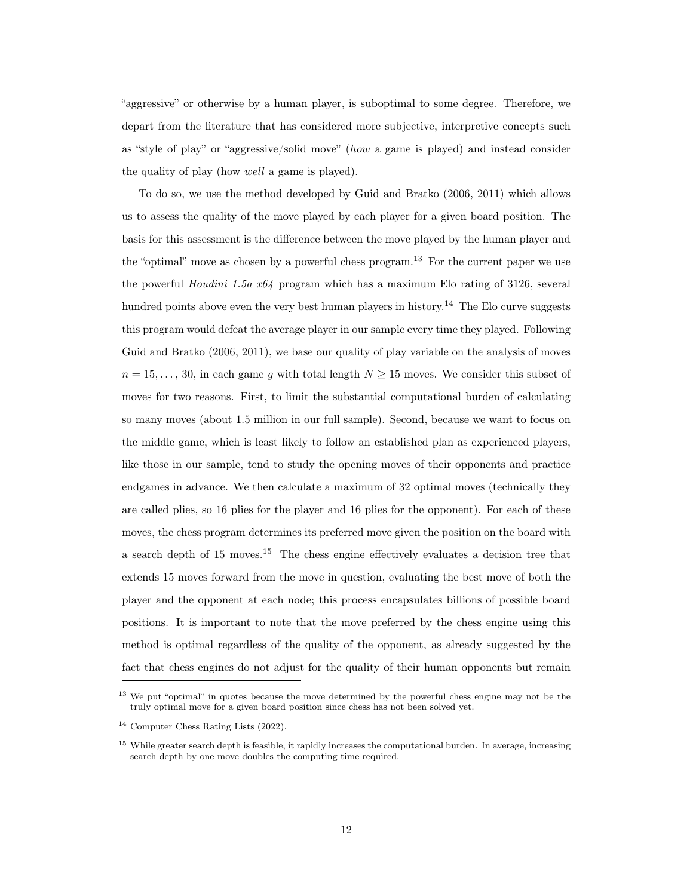"aggressive" or otherwise by a human player, is suboptimal to some degree. Therefore, we depart from the literature that has considered more subjective, interpretive concepts such as "style of play" or "aggressive/solid move" (how a game is played) and instead consider the quality of play (how well a game is played).

To do so, we use the method developed by Guid and Bratko (2006, 2011) which allows us to assess the quality of the move played by each player for a given board position. The basis for this assessment is the difference between the move played by the human player and the "optimal" move as chosen by a powerful chess program.<sup>13</sup> For the current paper we use the powerful Houdini 1.5a x64 program which has a maximum Elo rating of 3126, several hundred points above even the very best human players in history.<sup>14</sup> The Elo curve suggests this program would defeat the average player in our sample every time they played. Following Guid and Bratko (2006, 2011), we base our quality of play variable on the analysis of moves  $n = 15, \ldots, 30$ , in each game g with total length  $N \ge 15$  moves. We consider this subset of moves for two reasons. First, to limit the substantial computational burden of calculating so many moves (about 1.5 million in our full sample). Second, because we want to focus on the middle game, which is least likely to follow an established plan as experienced players, like those in our sample, tend to study the opening moves of their opponents and practice endgames in advance. We then calculate a maximum of 32 optimal moves (technically they are called plies, so 16 plies for the player and 16 plies for the opponent). For each of these moves, the chess program determines its preferred move given the position on the board with a search depth of 15 moves.<sup>15</sup> The chess engine effectively evaluates a decision tree that extends 15 moves forward from the move in question, evaluating the best move of both the player and the opponent at each node; this process encapsulates billions of possible board positions. It is important to note that the move preferred by the chess engine using this method is optimal regardless of the quality of the opponent, as already suggested by the fact that chess engines do not adjust for the quality of their human opponents but remain

<sup>&</sup>lt;sup>13</sup> We put "optimal" in quotes because the move determined by the powerful chess engine may not be the truly optimal move for a given board position since chess has not been solved yet.

<sup>14</sup> Computer Chess Rating Lists (2022).

<sup>&</sup>lt;sup>15</sup> While greater search depth is feasible, it rapidly increases the computational burden. In average, increasing search depth by one move doubles the computing time required.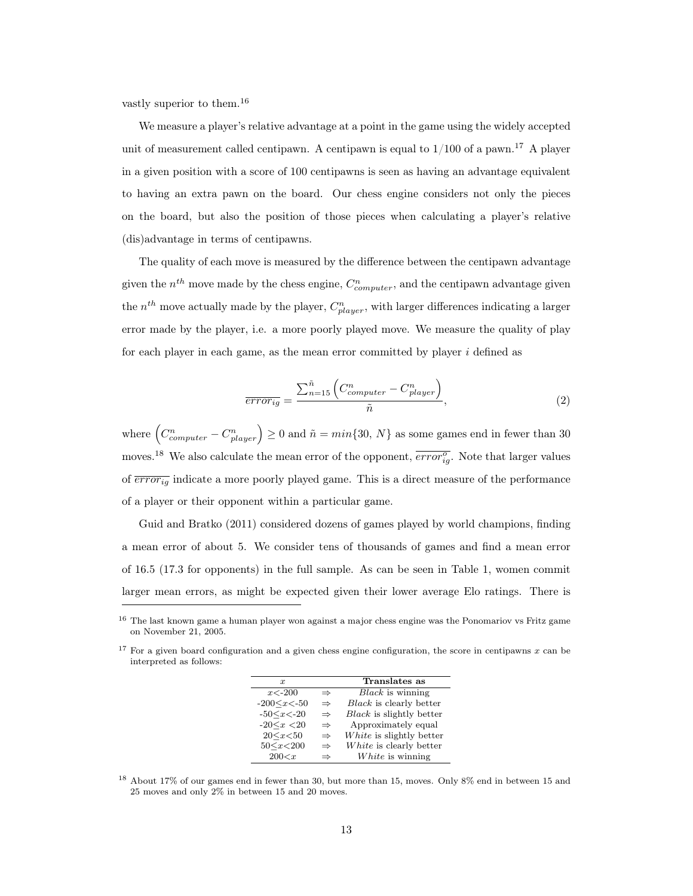vastly superior to them.<sup>16</sup>

We measure a player's relative advantage at a point in the game using the widely accepted unit of measurement called centipawn. A centipawn is equal to  $1/100$  of a pawn.<sup>17</sup> A player in a given position with a score of 100 centipawns is seen as having an advantage equivalent to having an extra pawn on the board. Our chess engine considers not only the pieces on the board, but also the position of those pieces when calculating a player's relative (dis)advantage in terms of centipawns.

The quality of each move is measured by the difference between the centipawn advantage given the  $n^{th}$  move made by the chess engine,  $C_{computer}^{n}$ , and the centipawn advantage given the  $n^{th}$  move actually made by the player,  $C_{player}^{n}$ , with larger differences indicating a larger error made by the player, i.e. a more poorly played move. We measure the quality of play for each player in each game, as the mean error committed by player i defined as

$$
\overline{error_{ig}} = \frac{\sum_{n=15}^{\tilde{n}} \left( C_{computer}^{n} - C_{player}^{n} \right)}{\tilde{n}}, \qquad (2)
$$

where  $(C_{computer}^n - C_{player}^n) \ge 0$  and  $\tilde{n} = min\{30, N\}$  as some games end in fewer than 30 moves.<sup>18</sup> We also calculate the mean error of the opponent,  $\overline{error_{ig}^o}$ . Note that larger values of  $\overline{error_{iq}}$  indicate a more poorly played game. This is a direct measure of the performance of a player or their opponent within a particular game.

Guid and Bratko (2011) considered dozens of games played by world champions, finding a mean error of about 5. We consider tens of thousands of games and find a mean error of 16.5 (17.3 for opponents) in the full sample. As can be seen in Table 1, women commit larger mean errors, as might be expected given their lower average Elo ratings. There is

 $17$  For a given board configuration and a given chess engine configuration, the score in centipawns x can be interpreted as follows:

| $\boldsymbol{x}$     |               | Translates as                   |
|----------------------|---------------|---------------------------------|
| $x < -200$           | $\Rightarrow$ | $Black$ is winning              |
| $-200 \le x \le -50$ | $\Rightarrow$ | Black is clearly better         |
| $-50 \le x \le -20$  | $\Rightarrow$ | <i>Black</i> is slightly better |
| $-20 \le x < 20$     | $\Rightarrow$ | Approximately equal             |
| $20 \le x \le 50$    | $\Rightarrow$ | White is slightly better        |
| $50 \le x \le 200$   | $\Rightarrow$ | White is clearly better         |
| 200 < x              | $\Rightarrow$ | White is winning                |

<sup>18</sup> About 17% of our games end in fewer than 30, but more than 15, moves. Only 8% end in between 15 and 25 moves and only 2% in between 15 and 20 moves.

<sup>&</sup>lt;sup>16</sup> The last known game a human player won against a major chess engine was the Ponomariov vs Fritz game on November 21, 2005.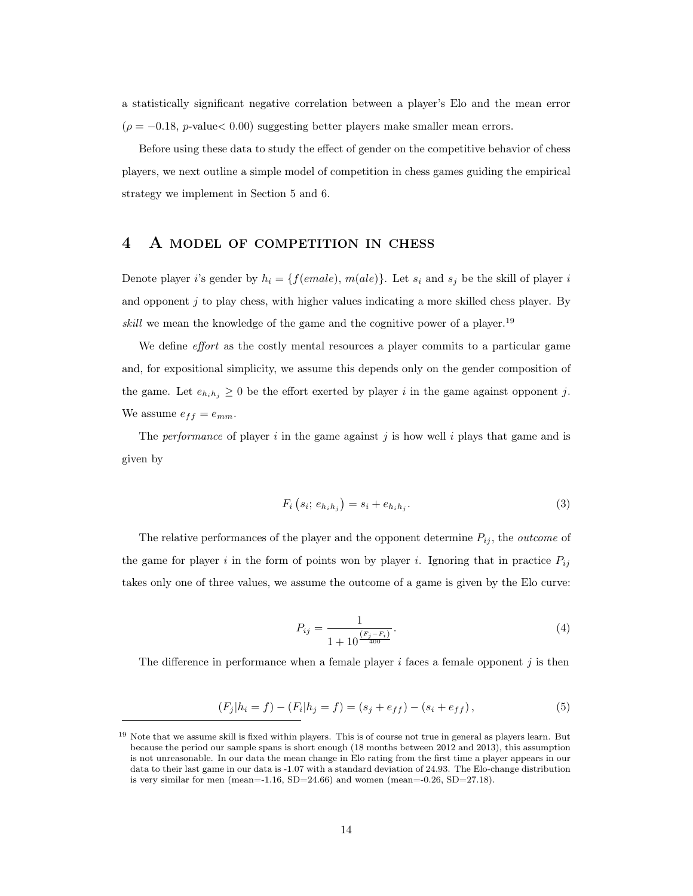a statistically significant negative correlation between a player's Elo and the mean error  $(\rho = -0.18, p-value<0.00)$  suggesting better players make smaller mean errors.

Before using these data to study the effect of gender on the competitive behavior of chess players, we next outline a simple model of competition in chess games guiding the empirical strategy we implement in Section 5 and 6.

## 4 A model of competition in chess

Denote player i's gender by  $h_i = \{f(emale), m(ale)\}\)$ . Let  $s_i$  and  $s_j$  be the skill of player i and opponent  $j$  to play chess, with higher values indicating a more skilled chess player. By skill we mean the knowledge of the game and the cognitive power of a player.<sup>19</sup>

We define *effort* as the costly mental resources a player commits to a particular game and, for expositional simplicity, we assume this depends only on the gender composition of the game. Let  $e_{h_i h_j} \geq 0$  be the effort exerted by player i in the game against opponent j. We assume  $e_{ff} = e_{mm}$ .

The *performance* of player i in the game against j is how well i plays that game and is given by

$$
F_i(s_i; e_{h_i h_j}) = s_i + e_{h_i h_j}.
$$
\n(3)

The relative performances of the player and the opponent determine  $P_{ij}$ , the *outcome* of the game for player i in the form of points won by player i. Ignoring that in practice  $P_{ij}$ takes only one of three values, we assume the outcome of a game is given by the Elo curve:

$$
P_{ij} = \frac{1}{1 + 10^{\frac{(F_j - F_i)}{400}}}.\tag{4}
$$

The difference in performance when a female player i faces a female opponent j is then

$$
(F_j|h_i = f) - (F_i|h_j = f) = (s_j + e_{ff}) - (s_i + e_{ff}), \tag{5}
$$

<sup>19</sup> Note that we assume skill is fixed within players. This is of course not true in general as players learn. But because the period our sample spans is short enough (18 months between 2012 and 2013), this assumption is not unreasonable. In our data the mean change in Elo rating from the first time a player appears in our data to their last game in our data is -1.07 with a standard deviation of 24.93. The Elo-change distribution is very similar for men (mean= $-1.16$ , SD= $24.66$ ) and women (mean= $-0.26$ , SD= $27.18$ ).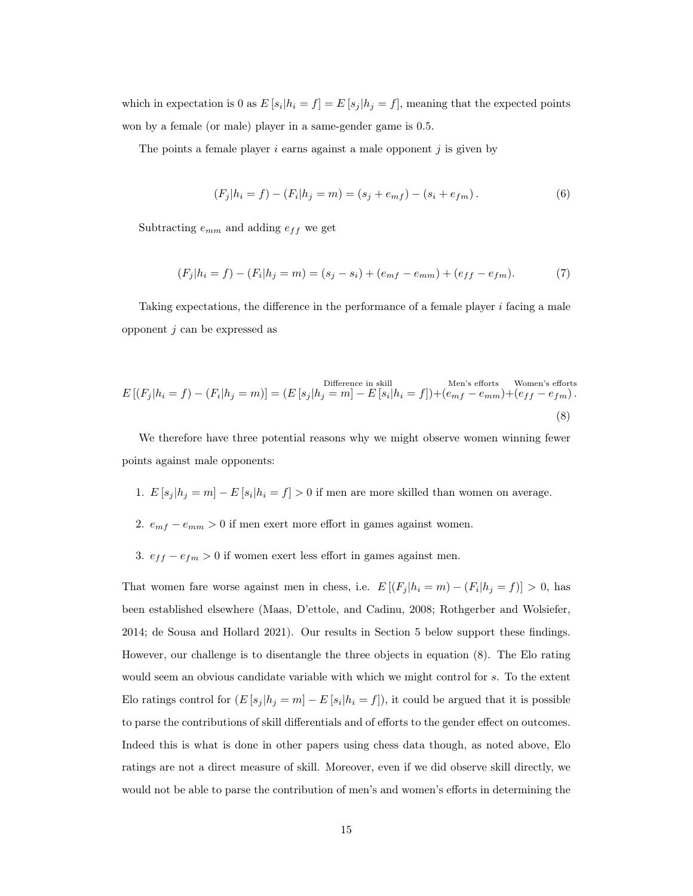which in expectation is 0 as  $E[s_i|h_i = f] = E[s_j|h_j = f]$ , meaning that the expected points won by a female (or male) player in a same-gender game is 0.5.

The points a female player  $i$  earns against a male opponent  $j$  is given by

$$
(F_j|h_i = f) - (F_i|h_j = m) = (s_j + e_{mf}) - (s_i + e_{fm}).
$$
\n(6)

Subtracting  $e_{mm}$  and adding  $e_{ff}$  we get

$$
(F_j|h_i = f) - (F_i|h_j = m) = (s_j - s_i) + (e_{mf} - e_{mm}) + (e_{ff} - e_{fm}).
$$
\n(7)

Taking expectations, the difference in the performance of a female player  $i$  facing a male opponent  $j$  can be expressed as

$$
E\left[(F_j|h_i = f) - (F_i|h_j = m)\right] = (E\left[s_j|h_j = m\right] - E\left[s_i|h_i = f\right]) + (e_{mf} - e_{mm}) + (e_{ff} - e_{fm}).
$$
\n
$$
(8)
$$

We therefore have three potential reasons why we might observe women winning fewer points against male opponents:

- 1.  $E[s_j|h_j=m]-E[s_i|h_i=f]>0$  if men are more skilled than women on average.
- 2.  $e_{mf} e_{mm} > 0$  if men exert more effort in games against women.
- 3.  $e_{ff} e_{fm} > 0$  if women exert less effort in games against men.

That women fare worse against men in chess, i.e.  $E[(F_j | h_i = m) - (F_i | h_j = f)] > 0$ , has been established elsewhere (Maas, D'ettole, and Cadinu, 2008; Rothgerber and Wolsiefer, 2014; de Sousa and Hollard 2021). Our results in Section 5 below support these findings. However, our challenge is to disentangle the three objects in equation (8). The Elo rating would seem an obvious candidate variable with which we might control for s. To the extent Elo ratings control for  $(E[s_j|h_j = m] - E[s_i|h_i = f])$ , it could be argued that it is possible to parse the contributions of skill differentials and of efforts to the gender effect on outcomes. Indeed this is what is done in other papers using chess data though, as noted above, Elo ratings are not a direct measure of skill. Moreover, even if we did observe skill directly, we would not be able to parse the contribution of men's and women's efforts in determining the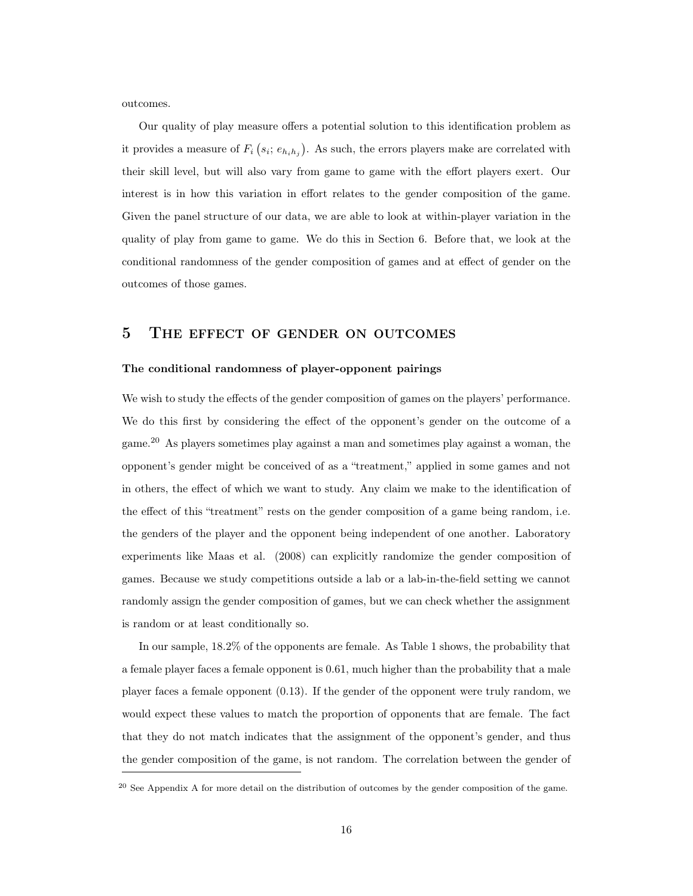outcomes.

Our quality of play measure offers a potential solution to this identification problem as it provides a measure of  $F_i$   $(s_i; e_{h_i h_j})$ . As such, the errors players make are correlated with their skill level, but will also vary from game to game with the effort players exert. Our interest is in how this variation in effort relates to the gender composition of the game. Given the panel structure of our data, we are able to look at within-player variation in the quality of play from game to game. We do this in Section 6. Before that, we look at the conditional randomness of the gender composition of games and at effect of gender on the outcomes of those games.

## 5 The effect of gender on outcomes

#### The conditional randomness of player-opponent pairings

We wish to study the effects of the gender composition of games on the players' performance. We do this first by considering the effect of the opponent's gender on the outcome of a game.<sup>20</sup> As players sometimes play against a man and sometimes play against a woman, the opponent's gender might be conceived of as a "treatment," applied in some games and not in others, the effect of which we want to study. Any claim we make to the identification of the effect of this "treatment" rests on the gender composition of a game being random, i.e. the genders of the player and the opponent being independent of one another. Laboratory experiments like Maas et al. (2008) can explicitly randomize the gender composition of games. Because we study competitions outside a lab or a lab-in-the-field setting we cannot randomly assign the gender composition of games, but we can check whether the assignment is random or at least conditionally so.

In our sample, 18.2% of the opponents are female. As Table 1 shows, the probability that a female player faces a female opponent is 0.61, much higher than the probability that a male player faces a female opponent (0.13). If the gender of the opponent were truly random, we would expect these values to match the proportion of opponents that are female. The fact that they do not match indicates that the assignment of the opponent's gender, and thus the gender composition of the game, is not random. The correlation between the gender of

<sup>20</sup> See Appendix A for more detail on the distribution of outcomes by the gender composition of the game.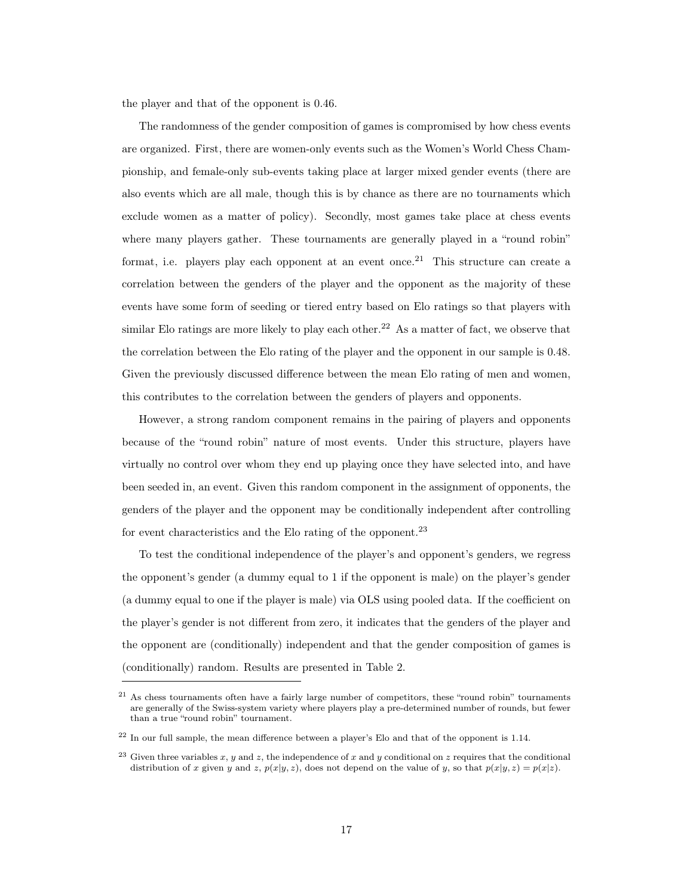the player and that of the opponent is 0.46.

The randomness of the gender composition of games is compromised by how chess events are organized. First, there are women-only events such as the Women's World Chess Championship, and female-only sub-events taking place at larger mixed gender events (there are also events which are all male, though this is by chance as there are no tournaments which exclude women as a matter of policy). Secondly, most games take place at chess events where many players gather. These tournaments are generally played in a "round robin" format, i.e. players play each opponent at an event once.<sup>21</sup> This structure can create a correlation between the genders of the player and the opponent as the majority of these events have some form of seeding or tiered entry based on Elo ratings so that players with similar Elo ratings are more likely to play each other.<sup>22</sup> As a matter of fact, we observe that the correlation between the Elo rating of the player and the opponent in our sample is 0.48. Given the previously discussed difference between the mean Elo rating of men and women, this contributes to the correlation between the genders of players and opponents.

However, a strong random component remains in the pairing of players and opponents because of the "round robin" nature of most events. Under this structure, players have virtually no control over whom they end up playing once they have selected into, and have been seeded in, an event. Given this random component in the assignment of opponents, the genders of the player and the opponent may be conditionally independent after controlling for event characteristics and the Elo rating of the opponent.<sup>23</sup>

To test the conditional independence of the player's and opponent's genders, we regress the opponent's gender (a dummy equal to 1 if the opponent is male) on the player's gender (a dummy equal to one if the player is male) via OLS using pooled data. If the coefficient on the player's gender is not different from zero, it indicates that the genders of the player and the opponent are (conditionally) independent and that the gender composition of games is (conditionally) random. Results are presented in Table 2.

<sup>&</sup>lt;sup>21</sup> As chess tournaments often have a fairly large number of competitors, these "round robin" tournaments are generally of the Swiss-system variety where players play a pre-determined number of rounds, but fewer than a true "round robin" tournament.

<sup>22</sup> In our full sample, the mean difference between a player's Elo and that of the opponent is 1.14.

<sup>&</sup>lt;sup>23</sup> Given three variables x, y and z, the independence of x and y conditional on z requires that the conditional distribution of x given y and z,  $p(x|y, z)$ , does not depend on the value of y, so that  $p(x|y, z) = p(x|z)$ .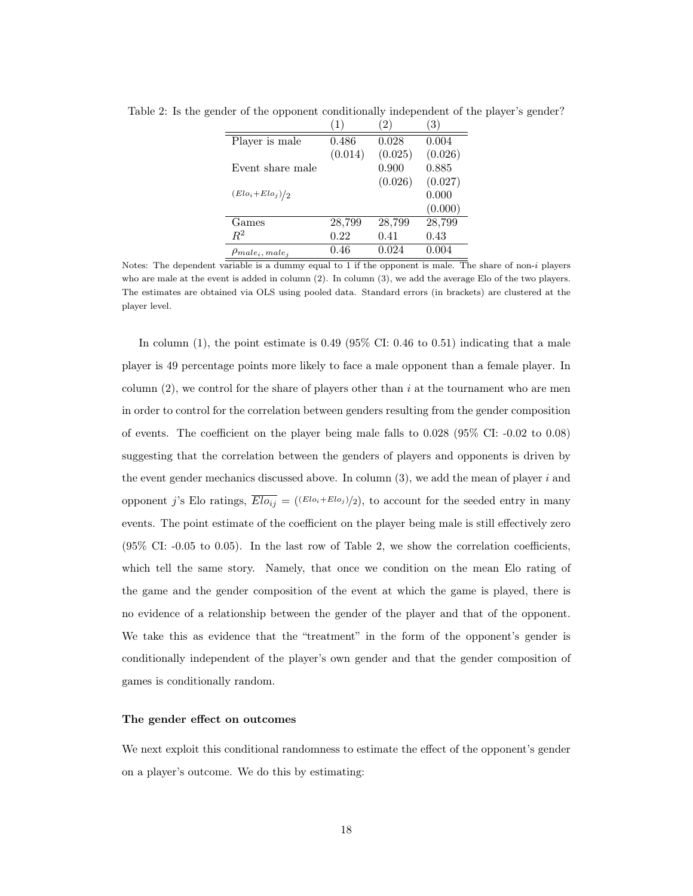|                                                           | $\left(1\right)$ | $\left( 2\right)$ | (3)     |
|-----------------------------------------------------------|------------------|-------------------|---------|
| Player is male                                            | 0.486            | 0.028             | 0.004   |
|                                                           | (0.014)          | (0.025)           | (0.026) |
| Event share male                                          |                  | 0.900             | 0.885   |
|                                                           |                  | (0.026)           | (0.027) |
| $(Elo_i + Elo_j)/2$                                       |                  |                   | 0.000   |
|                                                           |                  |                   | (0.000) |
| Games                                                     | 28,799           | 28,799            | 28,799  |
| $R^2$                                                     | 0.22             | 0.41              | 0.43    |
| $\beta$ <i>male<sub>i</sub></i> , <i>male<sub>i</sub></i> | 0.46             | 0.024             | 0.004   |

Table 2: Is the gender of the opponent conditionally independent of the player's gender?

Notes: The dependent variable is a dummy equal to 1 if the opponent is male. The share of non-i players who are male at the event is added in column (2). In column (3), we add the average Elo of the two players. The estimates are obtained via OLS using pooled data. Standard errors (in brackets) are clustered at the player level.

In column  $(1)$ , the point estimate is 0.49 (95% CI: 0.46 to 0.51) indicating that a male player is 49 percentage points more likely to face a male opponent than a female player. In column  $(2)$ , we control for the share of players other than i at the tournament who are men in order to control for the correlation between genders resulting from the gender composition of events. The coefficient on the player being male falls to 0.028 (95% CI: -0.02 to 0.08) suggesting that the correlation between the genders of players and opponents is driven by the event gender mechanics discussed above. In column  $(3)$ , we add the mean of player i and opponent j's Elo ratings,  $\overline{Elo_{ij}} = ((Elo_i + Elo_j)/2)$ , to account for the seeded entry in many events. The point estimate of the coefficient on the player being male is still effectively zero (95% CI: -0.05 to 0.05). In the last row of Table 2, we show the correlation coefficients, which tell the same story. Namely, that once we condition on the mean Elo rating of the game and the gender composition of the event at which the game is played, there is no evidence of a relationship between the gender of the player and that of the opponent. We take this as evidence that the "treatment" in the form of the opponent's gender is conditionally independent of the player's own gender and that the gender composition of games is conditionally random.

#### The gender effect on outcomes

We next exploit this conditional randomness to estimate the effect of the opponent's gender on a player's outcome. We do this by estimating: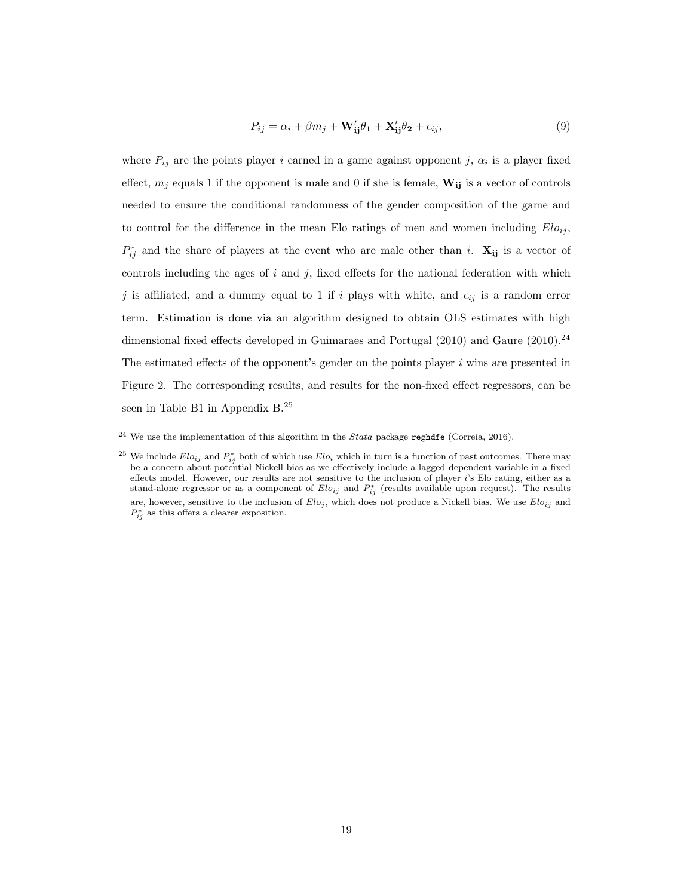$$
P_{ij} = \alpha_i + \beta m_j + \mathbf{W}_{ij}'\theta_1 + \mathbf{X}_{ij}'\theta_2 + \epsilon_{ij},\tag{9}
$$

where  $P_{ij}$  are the points player i earned in a game against opponent j,  $\alpha_i$  is a player fixed effect,  $m_j$  equals 1 if the opponent is male and 0 if she is female,  $\mathbf{W_{ij}}$  is a vector of controls needed to ensure the conditional randomness of the gender composition of the game and to control for the difference in the mean Elo ratings of men and women including  $\overline{Elo_{ij}}$ ,  $P_{ij}^*$  and the share of players at the event who are male other than i.  $\mathbf{X_{ij}}$  is a vector of controls including the ages of  $i$  and  $j$ , fixed effects for the national federation with which j is affiliated, and a dummy equal to 1 if i plays with white, and  $\epsilon_{ij}$  is a random error term. Estimation is done via an algorithm designed to obtain OLS estimates with high dimensional fixed effects developed in Guimaraes and Portugal  $(2010)$  and Gaure  $(2010).^{24}$ The estimated effects of the opponent's gender on the points player  $i$  wins are presented in Figure 2. The corresponding results, and results for the non-fixed effect regressors, can be seen in Table B1 in Appendix B.<sup>25</sup>

 $^{24}$  We use the implementation of this algorithm in the *Stata* package reghdfe (Correia, 2016).

<sup>&</sup>lt;sup>25</sup> We include  $\overline{Elo_{ij}}$  and  $P_{ij}^*$  both of which use  $Elo_i$  which in turn is a function of past outcomes. There may be a concern about potential Nickell bias as we effectively include a lagged dependent variable in a fixed effects model. However, our results are not sensitive to the inclusion of player i's Elo rating, either as a stand-alone regressor or as a component of  $\overline{Elo_{ij}}$  and  $P_{ij}^*$  (results available upon request). The results are, however, sensitive to the inclusion of  $Elo_j$ , which does not produce a Nickell bias. We use  $\overline{Elo_{ij}}$  and  $P_{ij}^*$  as this offers a clearer exposition.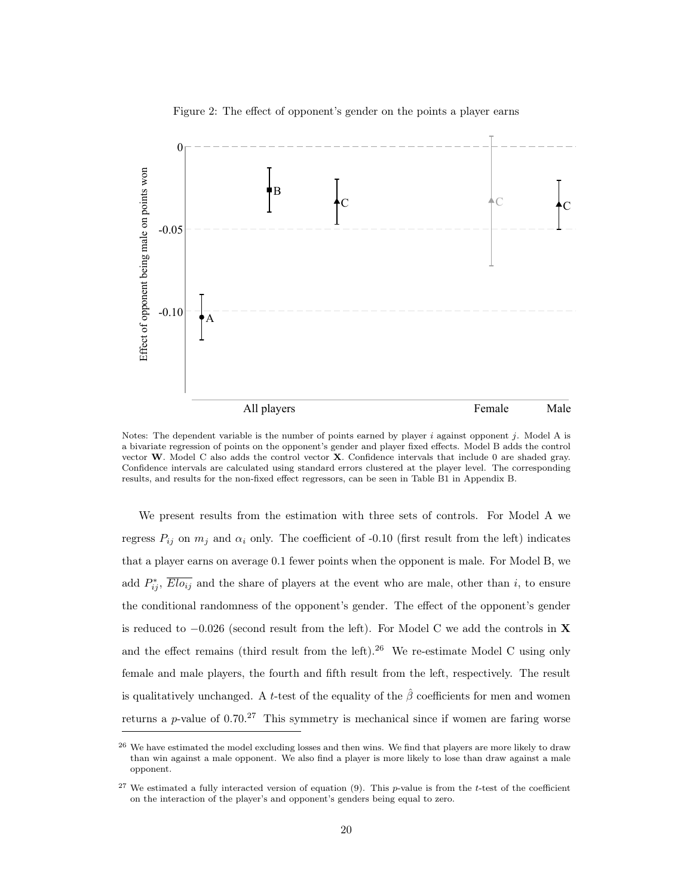

Figure 2: The effect of opponent's gender on the points a player earns

Notes: The dependent variable is the number of points earned by player  $i$  against opponent  $j$ . Model A is a bivariate regression of points on the opponent's gender and player fixed effects. Model B adds the control vector W. Model C also adds the control vector X. Confidence intervals that include 0 are shaded gray. Confidence intervals are calculated using standard errors clustered at the player level. The corresponding results, and results for the non-fixed effect regressors, can be seen in Table B1 in Appendix B.

We present results from the estimation with three sets of controls. For Model A we regress  $P_{ij}$  on  $m_j$  and  $\alpha_i$  only. The coefficient of -0.10 (first result from the left) indicates that a player earns on average 0.1 fewer points when the opponent is male. For Model B, we add  $P_{ij}^*$ ,  $\overline{Elo_{ij}}$  and the share of players at the event who are male, other than i, to ensure the conditional randomness of the opponent's gender. The effect of the opponent's gender is reduced to  $-0.026$  (second result from the left). For Model C we add the controls in **X** and the effect remains (third result from the left).<sup>26</sup> We re-estimate Model C using only female and male players, the fourth and fifth result from the left, respectively. The result is qualitatively unchanged. A t-test of the equality of the  $\hat{\beta}$  coefficients for men and women returns a p-value of  $0.70<sup>27</sup>$  This symmetry is mechanical since if women are faring worse

<sup>&</sup>lt;sup>26</sup> We have estimated the model excluding losses and then wins. We find that players are more likely to draw than win against a male opponent. We also find a player is more likely to lose than draw against a male opponent.

 $27$  We estimated a fully interacted version of equation (9). This p-value is from the t-test of the coefficient on the interaction of the player's and opponent's genders being equal to zero.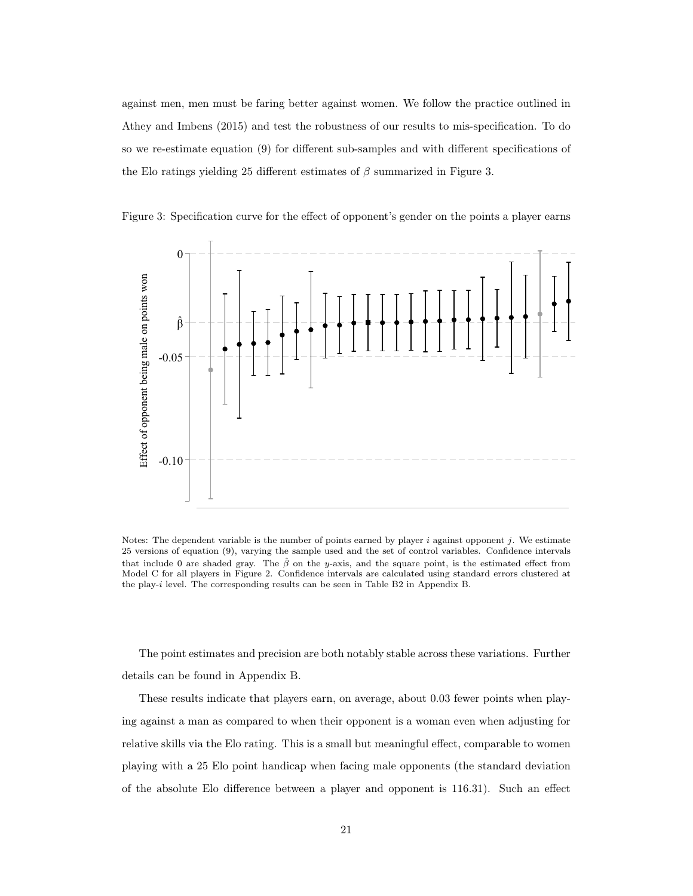against men, men must be faring better against women. We follow the practice outlined in Athey and Imbens (2015) and test the robustness of our results to mis-specification. To do so we re-estimate equation (9) for different sub-samples and with different specifications of the Elo ratings yielding 25 different estimates of  $\beta$  summarized in Figure 3.



Figure 3: Specification curve for the effect of opponent's gender on the points a player earns

Notes: The dependent variable is the number of points earned by player  $i$  against opponent  $j$ . We estimate 25 versions of equation (9), varying the sample used and the set of control variables. Confidence intervals that include 0 are shaded gray. The  $\hat{\beta}$  on the y-axis, and the square point, is the estimated effect from Model C for all players in Figure 2. Confidence intervals are calculated using standard errors clustered at the play-i level. The corresponding results can be seen in Table B2 in Appendix B.

The point estimates and precision are both notably stable across these variations. Further details can be found in Appendix B.

These results indicate that players earn, on average, about 0.03 fewer points when playing against a man as compared to when their opponent is a woman even when adjusting for relative skills via the Elo rating. This is a small but meaningful effect, comparable to women playing with a 25 Elo point handicap when facing male opponents (the standard deviation of the absolute Elo difference between a player and opponent is 116.31). Such an effect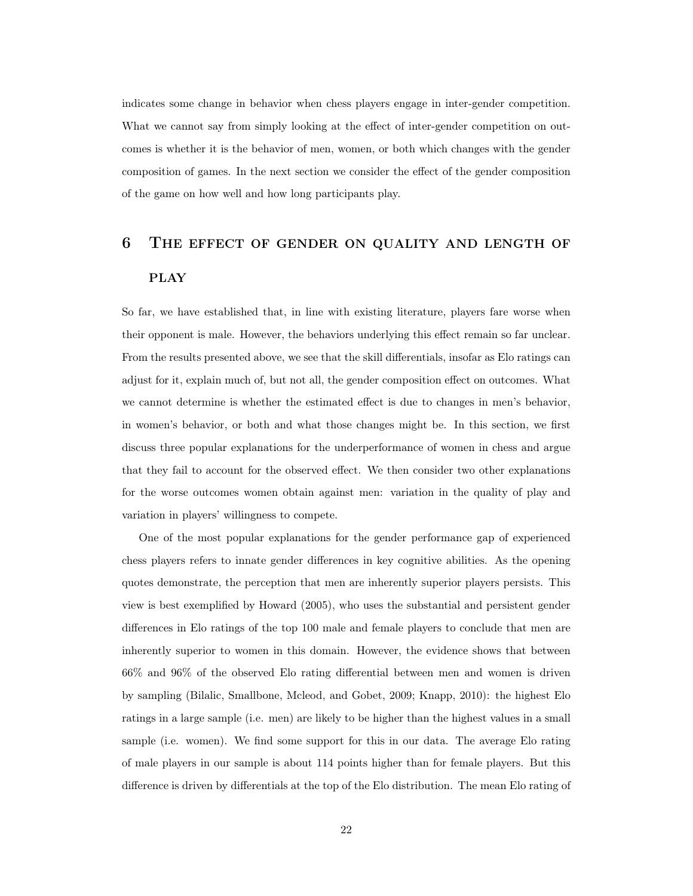indicates some change in behavior when chess players engage in inter-gender competition. What we cannot say from simply looking at the effect of inter-gender competition on outcomes is whether it is the behavior of men, women, or both which changes with the gender composition of games. In the next section we consider the effect of the gender composition of the game on how well and how long participants play.

# 6 The effect of gender on quality and length of **PLAY**

So far, we have established that, in line with existing literature, players fare worse when their opponent is male. However, the behaviors underlying this effect remain so far unclear. From the results presented above, we see that the skill differentials, insofar as Elo ratings can adjust for it, explain much of, but not all, the gender composition effect on outcomes. What we cannot determine is whether the estimated effect is due to changes in men's behavior, in women's behavior, or both and what those changes might be. In this section, we first discuss three popular explanations for the underperformance of women in chess and argue that they fail to account for the observed effect. We then consider two other explanations for the worse outcomes women obtain against men: variation in the quality of play and variation in players' willingness to compete.

One of the most popular explanations for the gender performance gap of experienced chess players refers to innate gender differences in key cognitive abilities. As the opening quotes demonstrate, the perception that men are inherently superior players persists. This view is best exemplified by Howard (2005), who uses the substantial and persistent gender differences in Elo ratings of the top 100 male and female players to conclude that men are inherently superior to women in this domain. However, the evidence shows that between 66% and 96% of the observed Elo rating differential between men and women is driven by sampling (Bilalic, Smallbone, Mcleod, and Gobet, 2009; Knapp, 2010): the highest Elo ratings in a large sample (i.e. men) are likely to be higher than the highest values in a small sample (i.e. women). We find some support for this in our data. The average Elo rating of male players in our sample is about 114 points higher than for female players. But this difference is driven by differentials at the top of the Elo distribution. The mean Elo rating of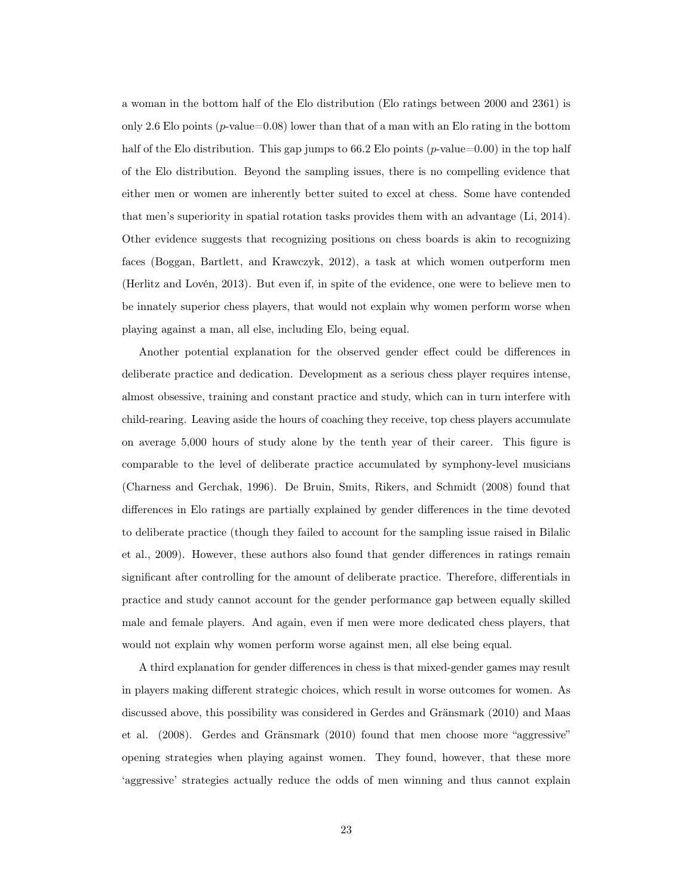a woman in the bottom half of the Elo distribution (Elo ratings between 2000 and 2361) is only 2.6 Elo points ( $p$ -value=0.08) lower than that of a man with an Elo rating in the bottom half of the Elo distribution. This gap jumps to  $66.2$  Elo points (*p*-value=0.00) in the top half of the Elo distribution. Beyond the sampling issues, there is no compelling evidence that either men or women are inherently better suited to excel at chess. Some have contended that men's superiority in spatial rotation tasks provides them with an advantage (Li, 2014). Other evidence suggests that recognizing positions on chess boards is akin to recognizing faces (Boggan, Bartlett, and Krawczyk, 2012), a task at which women outperform men (Herlitz and Lovén, 2013). But even if, in spite of the evidence, one were to believe men to be innately superior chess players, that would not explain why women perform worse when playing against a man, all else, including Elo, being equal.

Another potential explanation for the observed gender effect could be differences in deliberate practice and dedication. Development as a serious chess player requires intense, almost obsessive, training and constant practice and study, which can in turn interfere with child-rearing. Leaving aside the hours of coaching they receive, top chess players accumulate on average 5,000 hours of study alone by the tenth year of their career. This figure is comparable to the level of deliberate practice accumulated by symphony-level musicians (Charness and Gerchak, 1996). De Bruin, Smits, Rikers, and Schmidt (2008) found that differences in Elo ratings are partially explained by gender differences in the time devoted to deliberate practice (though they failed to account for the sampling issue raised in Bilalic et al., 2009). However, these authors also found that gender differences in ratings remain significant after controlling for the amount of deliberate practice. Therefore, differentials in practice and study cannot account for the gender performance gap between equally skilled male and female players. And again, even if men were more dedicated chess players, that would not explain why women perform worse against men, all else being equal.

A third explanation for gender differences in chess is that mixed-gender games may result in players making different strategic choices, which result in worse outcomes for women. As discussed above, this possibility was considered in Gerdes and Gränsmark (2010) and Maas et al. (2008). Gerdes and Gränsmark (2010) found that men choose more "aggressive" opening strategies when playing against women. They found, however, that these more 'aggressive' strategies actually reduce the odds of men winning and thus cannot explain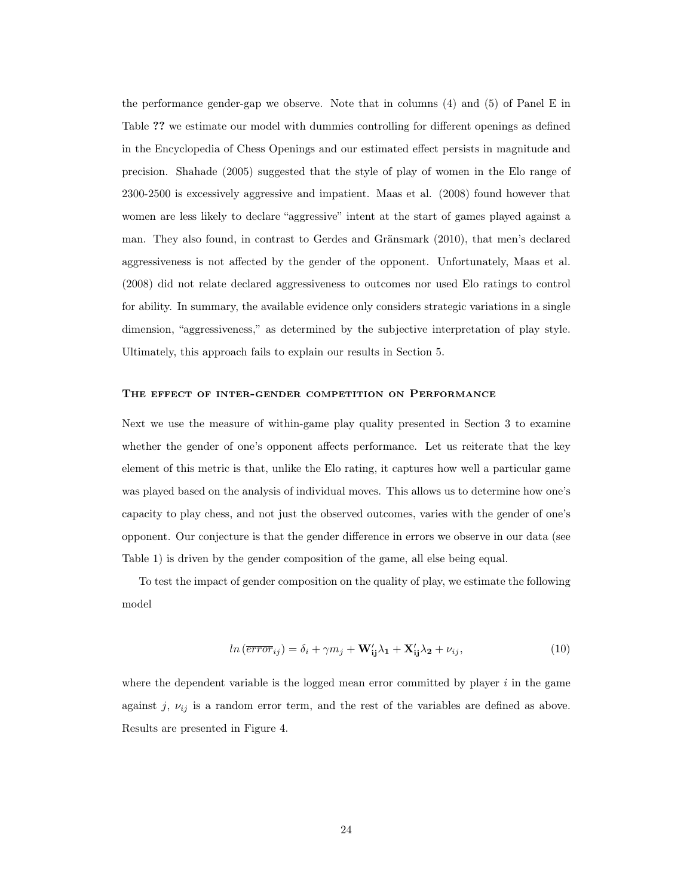the performance gender-gap we observe. Note that in columns (4) and (5) of Panel E in Table ?? we estimate our model with dummies controlling for different openings as defined in the Encyclopedia of Chess Openings and our estimated effect persists in magnitude and precision. Shahade (2005) suggested that the style of play of women in the Elo range of 2300-2500 is excessively aggressive and impatient. Maas et al. (2008) found however that women are less likely to declare "aggressive" intent at the start of games played against a man. They also found, in contrast to Gerdes and Gränsmark (2010), that men's declared aggressiveness is not affected by the gender of the opponent. Unfortunately, Maas et al. (2008) did not relate declared aggressiveness to outcomes nor used Elo ratings to control for ability. In summary, the available evidence only considers strategic variations in a single dimension, "aggressiveness," as determined by the subjective interpretation of play style. Ultimately, this approach fails to explain our results in Section 5.

### The effect of inter-gender competition on Performance

Next we use the measure of within-game play quality presented in Section 3 to examine whether the gender of one's opponent affects performance. Let us reiterate that the key element of this metric is that, unlike the Elo rating, it captures how well a particular game was played based on the analysis of individual moves. This allows us to determine how one's capacity to play chess, and not just the observed outcomes, varies with the gender of one's opponent. Our conjecture is that the gender difference in errors we observe in our data (see Table 1) is driven by the gender composition of the game, all else being equal.

To test the impact of gender composition on the quality of play, we estimate the following model

$$
ln\left(\overline{error}_{ij}\right) = \delta_i + \gamma m_j + \mathbf{W}_{ij}'\lambda_1 + \mathbf{X}_{ij}'\lambda_2 + \nu_{ij},\tag{10}
$$

where the dependent variable is the logged mean error committed by player  $i$  in the game against j,  $\nu_{ij}$  is a random error term, and the rest of the variables are defined as above. Results are presented in Figure 4.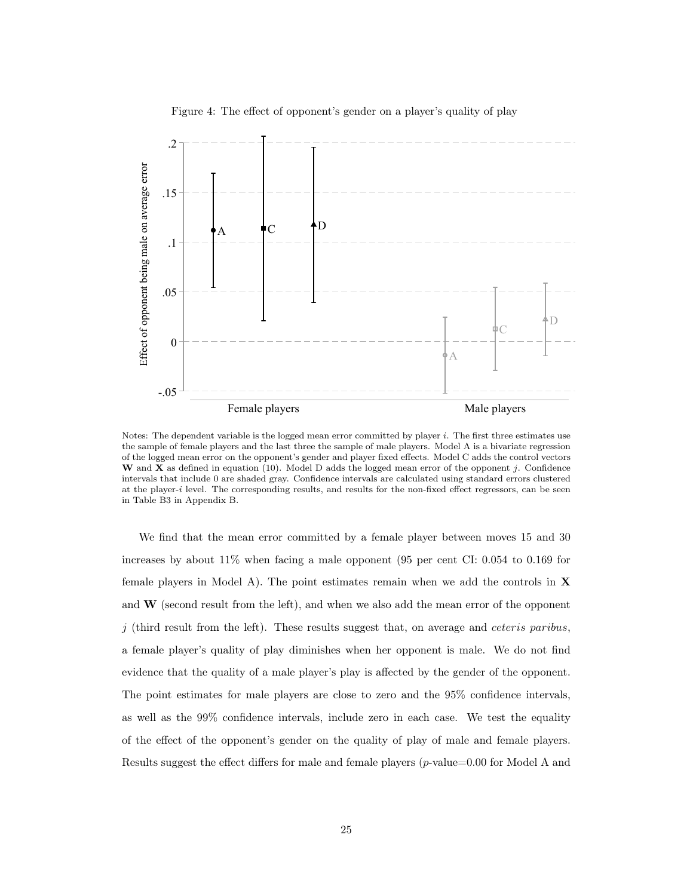

Figure 4: The effect of opponent's gender on a player's quality of play

Notes: The dependent variable is the logged mean error committed by player i. The first three estimates use the sample of female players and the last three the sample of male players. Model A is a bivariate regression of the logged mean error on the opponent's gender and player fixed effects. Model C adds the control vectors W and X as defined in equation (10). Model D adds the logged mean error of the opponent j. Confidence intervals that include 0 are shaded gray. Confidence intervals are calculated using standard errors clustered at the player-i level. The corresponding results, and results for the non-fixed effect regressors, can be seen in Table B3 in Appendix B.

We find that the mean error committed by a female player between moves 15 and 30 increases by about 11% when facing a male opponent (95 per cent CI: 0.054 to 0.169 for female players in Model A). The point estimates remain when we add the controls in  $X$ and  $\bf{W}$  (second result from the left), and when we also add the mean error of the opponent  $j$  (third result from the left). These results suggest that, on average and *ceteris paribus*, a female player's quality of play diminishes when her opponent is male. We do not find evidence that the quality of a male player's play is affected by the gender of the opponent. The point estimates for male players are close to zero and the 95% confidence intervals, as well as the 99% confidence intervals, include zero in each case. We test the equality of the effect of the opponent's gender on the quality of play of male and female players. Results suggest the effect differs for male and female players (p-value=0.00 for Model A and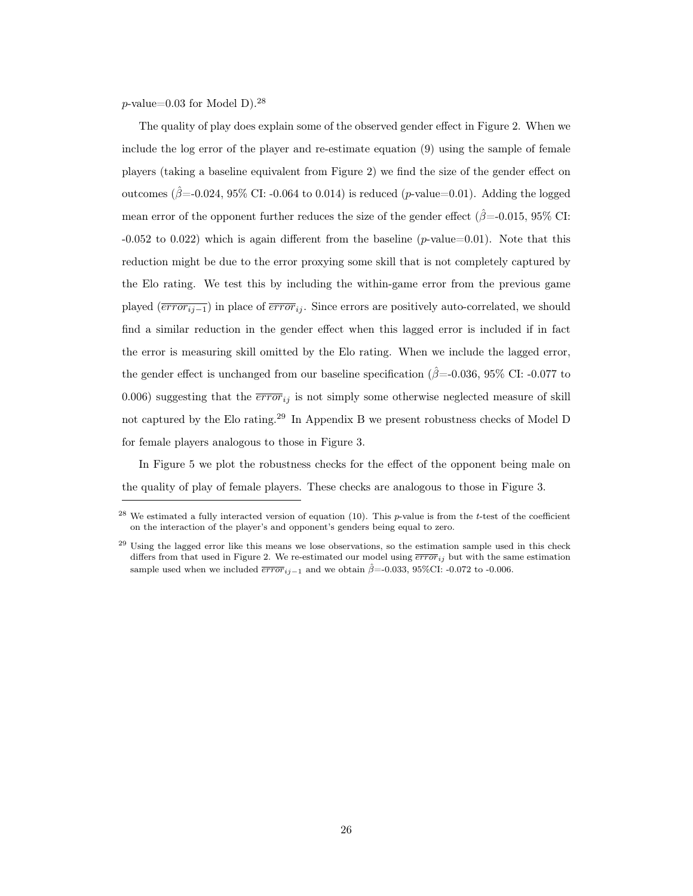$p$ -value=0.03 for Model D).<sup>28</sup>

The quality of play does explain some of the observed gender effect in Figure 2. When we include the log error of the player and re-estimate equation (9) using the sample of female players (taking a baseline equivalent from Figure 2) we find the size of the gender effect on outcomes ( $\hat{\beta}$ =-0.024, 95% CI: -0.064 to 0.014) is reduced (p-value=0.01). Adding the logged mean error of the opponent further reduces the size of the gender effect ( $\hat{\beta}$ =-0.015, 95% CI:  $-0.052$  to  $0.022$ ) which is again different from the baseline (p-value=0.01). Note that this reduction might be due to the error proxying some skill that is not completely captured by the Elo rating. We test this by including the within-game error from the previous game played  $(\overline{error_{ij-1}})$  in place of  $\overline{error_{ij}}$ . Since errors are positively auto-correlated, we should find a similar reduction in the gender effect when this lagged error is included if in fact the error is measuring skill omitted by the Elo rating. When we include the lagged error, the gender effect is unchanged from our baseline specification ( $\hat{\beta}$ =-0.036, 95% CI: -0.077 to 0.006) suggesting that the  $\overline{error}_{ij}$  is not simply some otherwise neglected measure of skill not captured by the Elo rating.<sup>29</sup> In Appendix B we present robustness checks of Model D for female players analogous to those in Figure 3.

In Figure 5 we plot the robustness checks for the effect of the opponent being male on the quality of play of female players. These checks are analogous to those in Figure 3.

<sup>&</sup>lt;sup>28</sup> We estimated a fully interacted version of equation (10). This p-value is from the t-test of the coefficient on the interaction of the player's and opponent's genders being equal to zero.

<sup>&</sup>lt;sup>29</sup> Using the lagged error like this means we lose observations, so the estimation sample used in this check differs from that used in Figure 2. We re-estimated our model using  $\overline{error}_{ij}$  but with the same estimation sample used when we included  $\overline{error}_{i,j-1}$  and we obtain  $\hat{\beta}$ =-0.033, 95%CI: -0.072 to -0.006.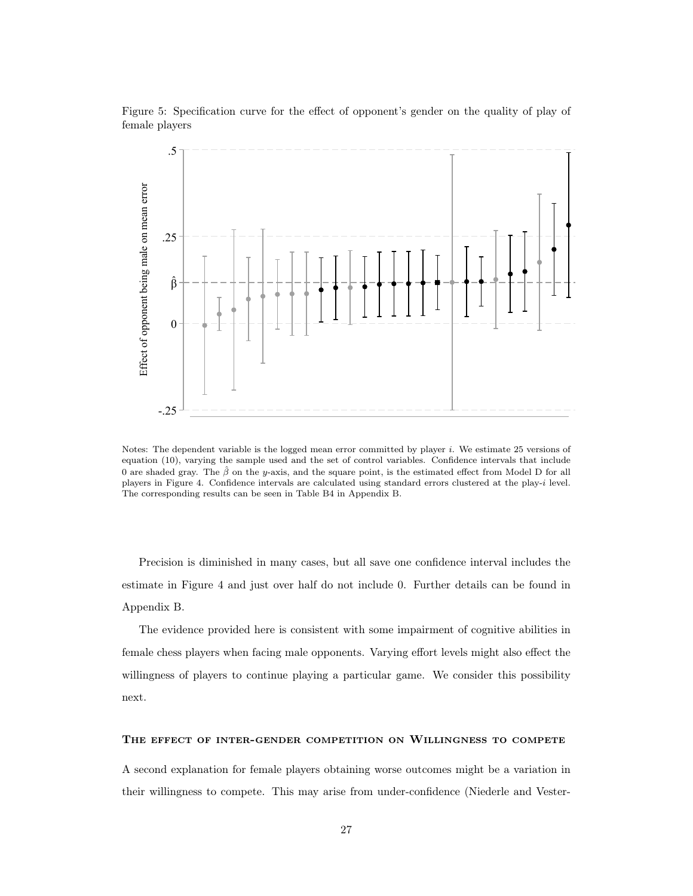



Notes: The dependent variable is the logged mean error committed by player i. We estimate 25 versions of equation (10), varying the sample used and the set of control variables. Confidence intervals that include 0 are shaded gray. The  $\hat{\beta}$  on the y-axis, and the square point, is the estimated effect from Model D for all players in Figure 4. Confidence intervals are calculated using standard errors clustered at the play-i level. The corresponding results can be seen in Table B4 in Appendix B.

Precision is diminished in many cases, but all save one confidence interval includes the estimate in Figure 4 and just over half do not include 0. Further details can be found in Appendix B.

The evidence provided here is consistent with some impairment of cognitive abilities in female chess players when facing male opponents. Varying effort levels might also effect the willingness of players to continue playing a particular game. We consider this possibility next.

### The effect of inter-gender competition on Willingness to compete

A second explanation for female players obtaining worse outcomes might be a variation in their willingness to compete. This may arise from under-confidence (Niederle and Vester-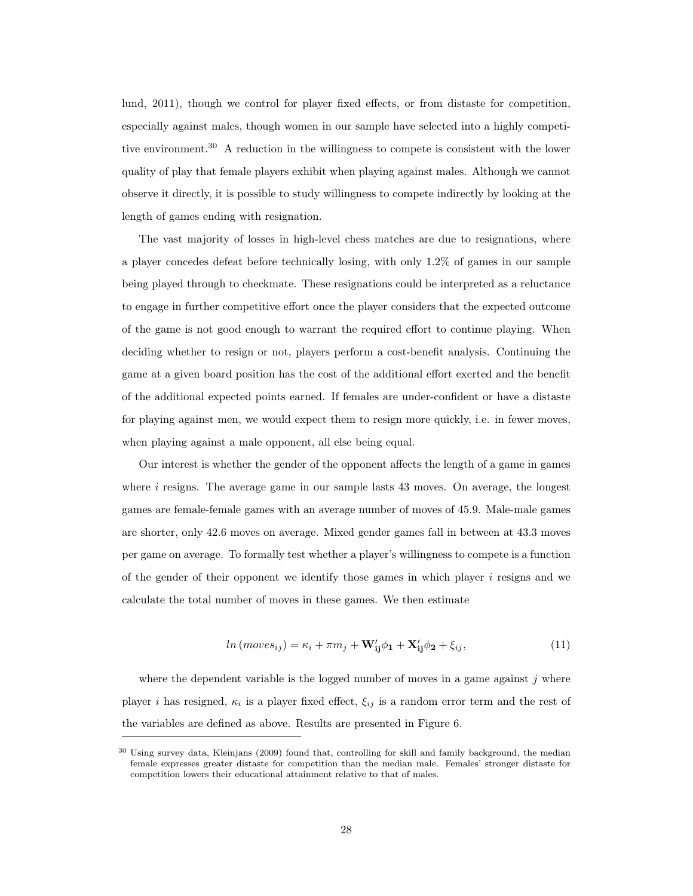lund, 2011), though we control for player fixed effects, or from distaste for competition, especially against males, though women in our sample have selected into a highly competitive environment.<sup>30</sup> A reduction in the willingness to compete is consistent with the lower quality of play that female players exhibit when playing against males. Although we cannot observe it directly, it is possible to study willingness to compete indirectly by looking at the length of games ending with resignation.

The vast majority of losses in high-level chess matches are due to resignations, where a player concedes defeat before technically losing, with only 1.2% of games in our sample being played through to checkmate. These resignations could be interpreted as a reluctance to engage in further competitive effort once the player considers that the expected outcome of the game is not good enough to warrant the required effort to continue playing. When deciding whether to resign or not, players perform a cost-benefit analysis. Continuing the game at a given board position has the cost of the additional effort exerted and the benefit of the additional expected points earned. If females are under-confident or have a distaste for playing against men, we would expect them to resign more quickly, i.e. in fewer moves, when playing against a male opponent, all else being equal.

Our interest is whether the gender of the opponent affects the length of a game in games where  $i$  resigns. The average game in our sample lasts 43 moves. On average, the longest games are female-female games with an average number of moves of 45.9. Male-male games are shorter, only 42.6 moves on average. Mixed gender games fall in between at 43.3 moves per game on average. To formally test whether a player's willingness to compete is a function of the gender of their opponent we identify those games in which player  $i$  resigns and we calculate the total number of moves in these games. We then estimate

$$
ln(moves_{ij}) = \kappa_i + \pi m_j + \mathbf{W}_{ij}'\phi_1 + \mathbf{X}_{ij}'\phi_2 + \xi_{ij},
$$
\n(11)

where the dependent variable is the logged number of moves in a game against  $j$  where player *i* has resigned,  $\kappa_i$  is a player fixed effect,  $\xi_{ij}$  is a random error term and the rest of the variables are defined as above. Results are presented in Figure 6.

<sup>&</sup>lt;sup>30</sup> Using survey data, Kleinjans (2009) found that, controlling for skill and family background, the median female expresses greater distaste for competition than the median male. Females' stronger distaste for competition lowers their educational attainment relative to that of males.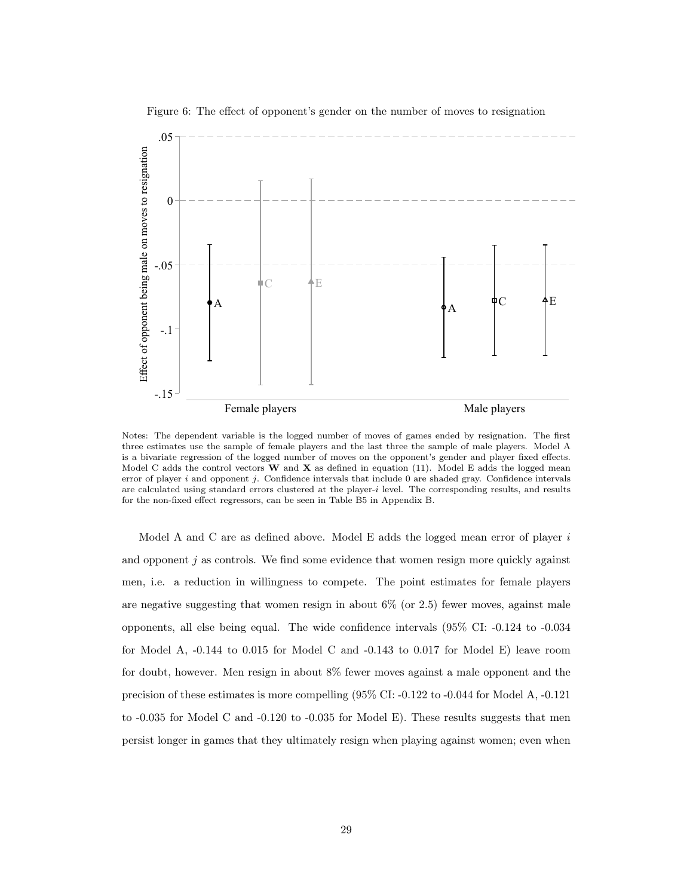

 $A \qquad \qquad \P{\rm C} \qquad \qquad \P{\rm E}$ 

A

-.15

-.1

Figure 6: The effect of opponent's gender on the number of moves to resignation

Notes: The dependent variable is the logged number of moves of games ended by resignation. The first three estimates use the sample of female players and the last three the sample of male players. Model A is a bivariate regression of the logged number of moves on the opponent's gender and player fixed effects. Model C adds the control vectors  $W$  and  $X$  as defined in equation (11). Model E adds the logged mean error of player i and opponent j. Confidence intervals that include 0 are shaded gray. Confidence intervals are calculated using standard errors clustered at the player-i level. The corresponding results, and results for the non-fixed effect regressors, can be seen in Table B5 in Appendix B.

Female players Male players Male players

Model A and C are as defined above. Model E adds the logged mean error of player  $i$ and opponent  $j$  as controls. We find some evidence that women resign more quickly against men, i.e. a reduction in willingness to compete. The point estimates for female players are negative suggesting that women resign in about  $6\%$  (or 2.5) fewer moves, against male opponents, all else being equal. The wide confidence intervals (95% CI: -0.124 to -0.034 for Model A, -0.144 to 0.015 for Model C and -0.143 to 0.017 for Model E) leave room for doubt, however. Men resign in about 8% fewer moves against a male opponent and the precision of these estimates is more compelling (95% CI: -0.122 to -0.044 for Model A, -0.121 to -0.035 for Model C and -0.120 to -0.035 for Model E). These results suggests that men persist longer in games that they ultimately resign when playing against women; even when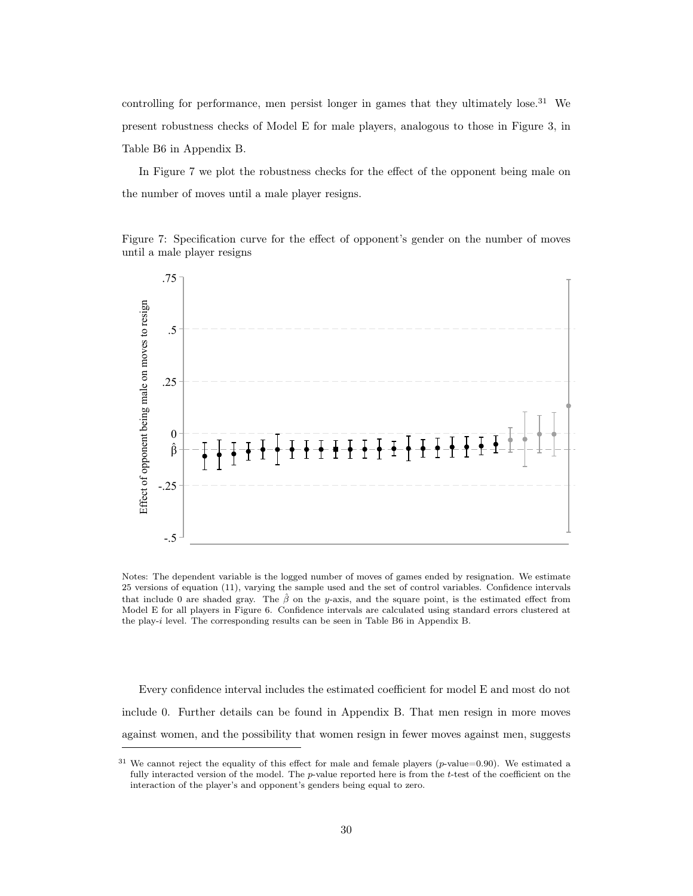controlling for performance, men persist longer in games that they ultimately lose.<sup>31</sup> We present robustness checks of Model E for male players, analogous to those in Figure 3, in Table B6 in Appendix B.

In Figure 7 we plot the robustness checks for the effect of the opponent being male on the number of moves until a male player resigns.

Figure 7: Specification curve for the effect of opponent's gender on the number of moves until a male player resigns



Notes: The dependent variable is the logged number of moves of games ended by resignation. We estimate 25 versions of equation (11), varying the sample used and the set of control variables. Confidence intervals that include 0 are shaded gray. The  $\hat{\beta}$  on the y-axis, and the square point, is the estimated effect from Model E for all players in Figure 6. Confidence intervals are calculated using standard errors clustered at the play-i level. The corresponding results can be seen in Table B6 in Appendix B.

Every confidence interval includes the estimated coefficient for model E and most do not include 0. Further details can be found in Appendix B. That men resign in more moves against women, and the possibility that women resign in fewer moves against men, suggests

 $31$  We cannot reject the equality of this effect for male and female players (p-value=0.90). We estimated a fully interacted version of the model. The  $p$ -value reported here is from the  $t$ -test of the coefficient on the interaction of the player's and opponent's genders being equal to zero.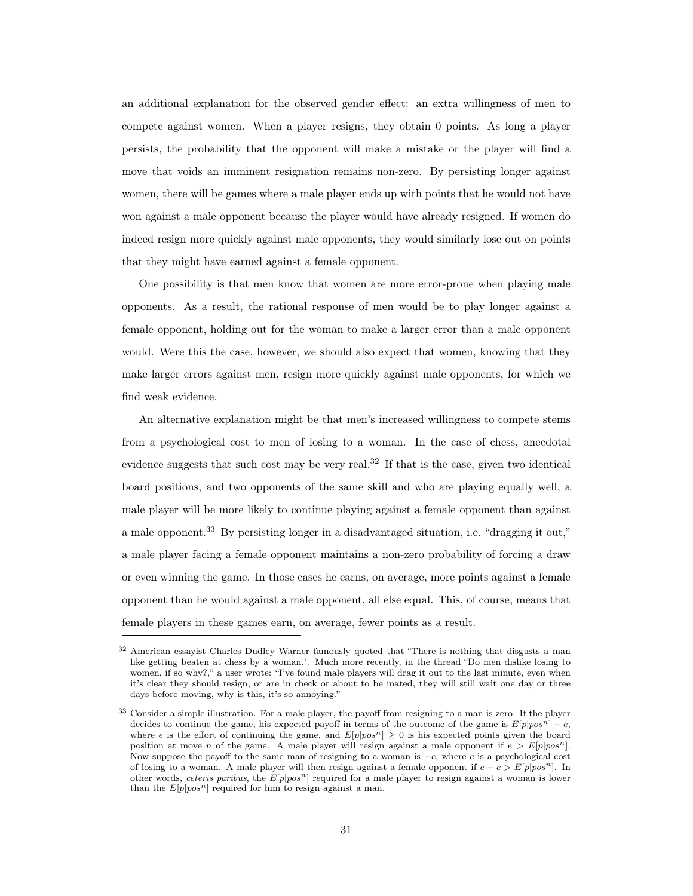an additional explanation for the observed gender effect: an extra willingness of men to compete against women. When a player resigns, they obtain 0 points. As long a player persists, the probability that the opponent will make a mistake or the player will find a move that voids an imminent resignation remains non-zero. By persisting longer against women, there will be games where a male player ends up with points that he would not have won against a male opponent because the player would have already resigned. If women do indeed resign more quickly against male opponents, they would similarly lose out on points that they might have earned against a female opponent.

One possibility is that men know that women are more error-prone when playing male opponents. As a result, the rational response of men would be to play longer against a female opponent, holding out for the woman to make a larger error than a male opponent would. Were this the case, however, we should also expect that women, knowing that they make larger errors against men, resign more quickly against male opponents, for which we find weak evidence.

An alternative explanation might be that men's increased willingness to compete stems from a psychological cost to men of losing to a woman. In the case of chess, anecdotal evidence suggests that such cost may be very real.<sup>32</sup> If that is the case, given two identical board positions, and two opponents of the same skill and who are playing equally well, a male player will be more likely to continue playing against a female opponent than against a male opponent.<sup>33</sup> By persisting longer in a disadvantaged situation, i.e. "dragging it out," a male player facing a female opponent maintains a non-zero probability of forcing a draw or even winning the game. In those cases he earns, on average, more points against a female opponent than he would against a male opponent, all else equal. This, of course, means that female players in these games earn, on average, fewer points as a result.

<sup>&</sup>lt;sup>32</sup> American essayist Charles Dudley Warner famously quoted that "There is nothing that disgusts a man like getting beaten at chess by a woman.'. Much more recently, in the thread "Do men dislike losing to women, if so why?," a user wrote: "I've found male players will drag it out to the last minute, even when it's clear they should resign, or are in check or about to be mated, they will still wait one day or three days before moving, why is this, it's so annoying."

<sup>33</sup> Consider a simple illustration. For a male player, the payoff from resigning to a man is zero. If the player decides to continue the game, his expected payoff in terms of the outcome of the game is  $E[p|pos^n] - e$ , where e is the effort of continuing the game, and  $E[p|pos^n] \ge 0$  is his expected points given the board position at move n of the game. A male player will resign against a male opponent if  $e > E[p|pos<sup>n</sup>]$ . Now suppose the payoff to the same man of resigning to a woman is −c, where c is a psychological cost of losing to a woman. A male player will then resign against a female opponent if  $e - c > E[p|pos^n]$ . In other words, ceteris paribus, the  $E[p|pos<sup>n</sup>]$  required for a male player to resign against a woman is lower than the  $E[p|pos^n]$  required for him to resign against a man.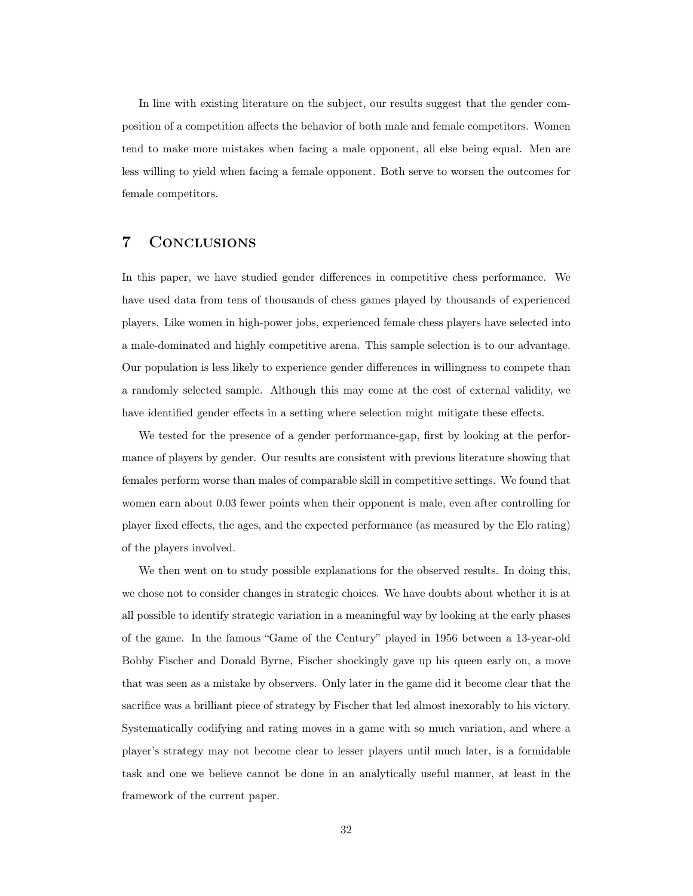In line with existing literature on the subject, our results suggest that the gender composition of a competition affects the behavior of both male and female competitors. Women tend to make more mistakes when facing a male opponent, all else being equal. Men are less willing to yield when facing a female opponent. Both serve to worsen the outcomes for female competitors.

# 7 Conclusions

In this paper, we have studied gender differences in competitive chess performance. We have used data from tens of thousands of chess games played by thousands of experienced players. Like women in high-power jobs, experienced female chess players have selected into a male-dominated and highly competitive arena. This sample selection is to our advantage. Our population is less likely to experience gender differences in willingness to compete than a randomly selected sample. Although this may come at the cost of external validity, we have identified gender effects in a setting where selection might mitigate these effects.

We tested for the presence of a gender performance-gap, first by looking at the performance of players by gender. Our results are consistent with previous literature showing that females perform worse than males of comparable skill in competitive settings. We found that women earn about 0.03 fewer points when their opponent is male, even after controlling for player fixed effects, the ages, and the expected performance (as measured by the Elo rating) of the players involved.

We then went on to study possible explanations for the observed results. In doing this, we chose not to consider changes in strategic choices. We have doubts about whether it is at all possible to identify strategic variation in a meaningful way by looking at the early phases of the game. In the famous "Game of the Century" played in 1956 between a 13-year-old Bobby Fischer and Donald Byrne, Fischer shockingly gave up his queen early on, a move that was seen as a mistake by observers. Only later in the game did it become clear that the sacrifice was a brilliant piece of strategy by Fischer that led almost inexorably to his victory. Systematically codifying and rating moves in a game with so much variation, and where a player's strategy may not become clear to lesser players until much later, is a formidable task and one we believe cannot be done in an analytically useful manner, at least in the framework of the current paper.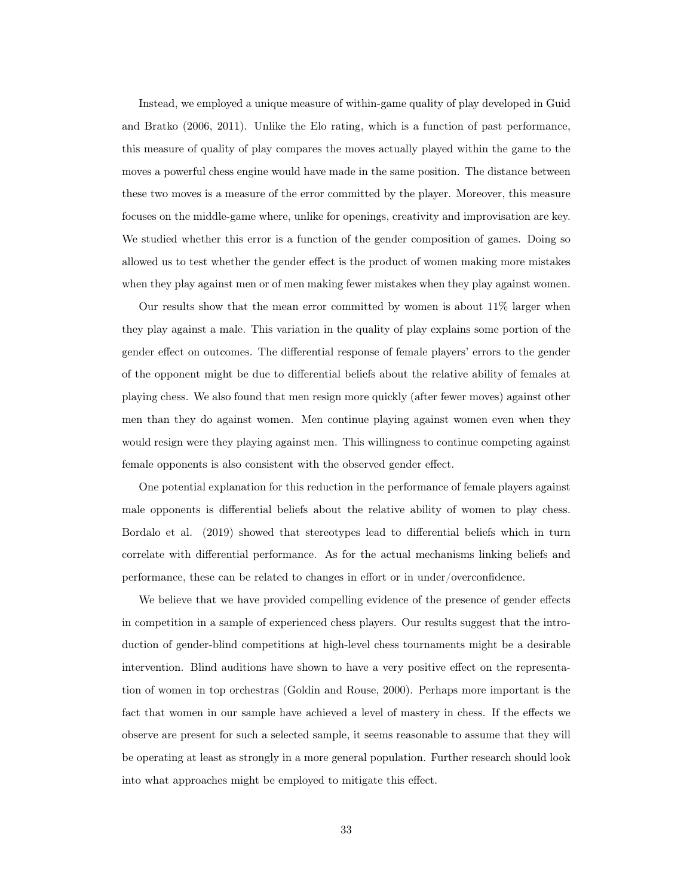Instead, we employed a unique measure of within-game quality of play developed in Guid and Bratko (2006, 2011). Unlike the Elo rating, which is a function of past performance, this measure of quality of play compares the moves actually played within the game to the moves a powerful chess engine would have made in the same position. The distance between these two moves is a measure of the error committed by the player. Moreover, this measure focuses on the middle-game where, unlike for openings, creativity and improvisation are key. We studied whether this error is a function of the gender composition of games. Doing so allowed us to test whether the gender effect is the product of women making more mistakes when they play against men or of men making fewer mistakes when they play against women.

Our results show that the mean error committed by women is about 11% larger when they play against a male. This variation in the quality of play explains some portion of the gender effect on outcomes. The differential response of female players' errors to the gender of the opponent might be due to differential beliefs about the relative ability of females at playing chess. We also found that men resign more quickly (after fewer moves) against other men than they do against women. Men continue playing against women even when they would resign were they playing against men. This willingness to continue competing against female opponents is also consistent with the observed gender effect.

One potential explanation for this reduction in the performance of female players against male opponents is differential beliefs about the relative ability of women to play chess. Bordalo et al. (2019) showed that stereotypes lead to differential beliefs which in turn correlate with differential performance. As for the actual mechanisms linking beliefs and performance, these can be related to changes in effort or in under/overconfidence.

We believe that we have provided compelling evidence of the presence of gender effects in competition in a sample of experienced chess players. Our results suggest that the introduction of gender-blind competitions at high-level chess tournaments might be a desirable intervention. Blind auditions have shown to have a very positive effect on the representation of women in top orchestras (Goldin and Rouse, 2000). Perhaps more important is the fact that women in our sample have achieved a level of mastery in chess. If the effects we observe are present for such a selected sample, it seems reasonable to assume that they will be operating at least as strongly in a more general population. Further research should look into what approaches might be employed to mitigate this effect.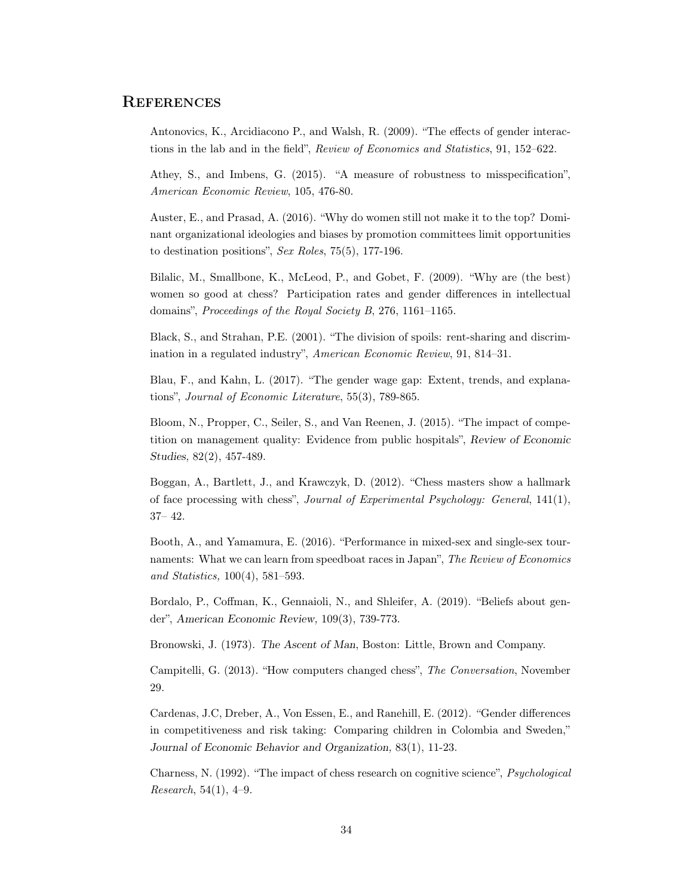## **REFERENCES**

Antonovics, K., Arcidiacono P., and Walsh, R. (2009). "The effects of gender interactions in the lab and in the field", Review of Economics and Statistics, 91, 152–622.

Athey, S., and Imbens, G. (2015). "A measure of robustness to misspecification", American Economic Review, 105, 476-80.

Auster, E., and Prasad, A. (2016). "Why do women still not make it to the top? Dominant organizational ideologies and biases by promotion committees limit opportunities to destination positions", Sex Roles,  $75(5)$ , 177-196.

Bilalic, M., Smallbone, K., McLeod, P., and Gobet, F. (2009). "Why are (the best) women so good at chess? Participation rates and gender differences in intellectual domains", Proceedings of the Royal Society B, 276, 1161-1165.

Black, S., and Strahan, P.E. (2001). "The division of spoils: rent-sharing and discrimination in a regulated industry", American Economic Review, 91, 814–31.

Blau, F., and Kahn, L. (2017). "The gender wage gap: Extent, trends, and explanations", Journal of Economic Literature, 55(3), 789-865.

Bloom, N., Propper, C., Seiler, S., and Van Reenen, J. (2015). "The impact of competition on management quality: Evidence from public hospitals", Review of Economic Studies, 82(2), 457-489.

Boggan, A., Bartlett, J., and Krawczyk, D. (2012). "Chess masters show a hallmark of face processing with chess", Journal of Experimental Psychology: General, 141(1), 37– 42.

Booth, A., and Yamamura, E. (2016). "Performance in mixed-sex and single-sex tournaments: What we can learn from speedboat races in Japan", The Review of Economics and Statistics, 100(4), 581–593.

Bordalo, P., Coffman, K., Gennaioli, N., and Shleifer, A. (2019). "Beliefs about gender", American Economic Review, 109(3), 739-773.

Bronowski, J. (1973). The Ascent of Man, Boston: Little, Brown and Company.

Campitelli, G. (2013). "How computers changed chess", The Conversation, November 29.

Cardenas, J.C, Dreber, A., Von Essen, E., and Ranehill, E. (2012). "Gender differences in competitiveness and risk taking: Comparing children in Colombia and Sweden," Journal of Economic Behavior and Organization, 83(1), 11-23.

Charness, N. (1992). "The impact of chess research on cognitive science", Psychological Research, 54(1), 4–9.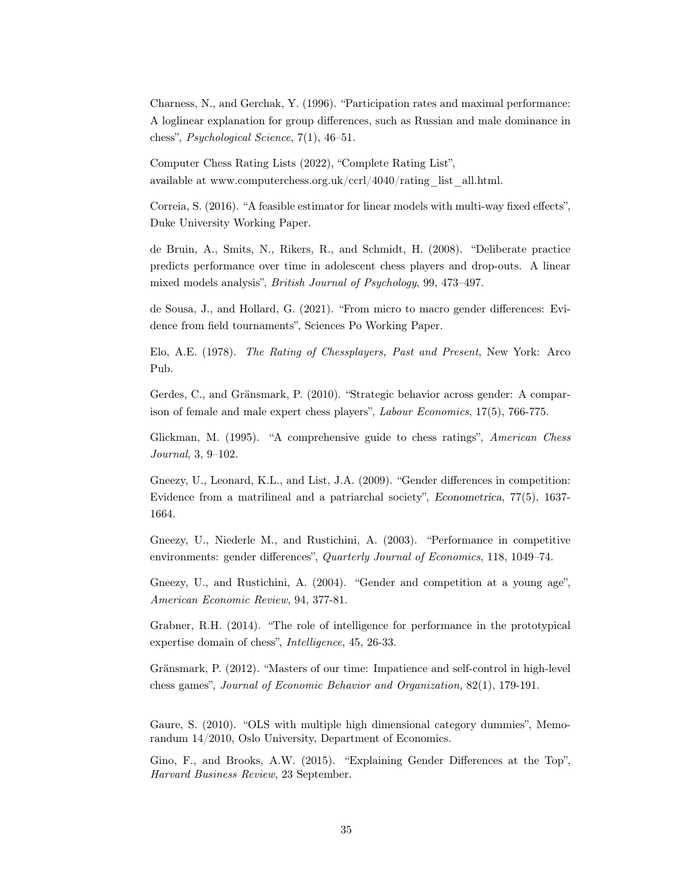Charness, N., and Gerchak, Y. (1996). "Participation rates and maximal performance: A loglinear explanation for group differences, such as Russian and male dominance in chess", *Psychological Science*,  $7(1)$ ,  $46-51$ .

Computer Chess Rating Lists (2022), "Complete Rating List", available at www.computerchess.org.uk/ccrl/4040/rating\_list\_all.html.

Correia, S. (2016). "A feasible estimator for linear models with multi-way fixed effects", Duke University Working Paper.

de Bruin, A., Smits, N., Rikers, R., and Schmidt, H. (2008). "Deliberate practice predicts performance over time in adolescent chess players and drop-outs. A linear mixed models analysis", *British Journal of Psychology*, 99, 473–497.

de Sousa, J., and Hollard, G. (2021). "From micro to macro gender differences: Evidence from field tournaments", Sciences Po Working Paper.

Elo, A.E. (1978). The Rating of Chessplayers, Past and Present, New York: Arco Pub.

Gerdes, C., and Gränsmark, P. (2010). "Strategic behavior across gender: A comparison of female and male expert chess players", Labour Economics, 17(5), 766-775.

Glickman, M. (1995). "A comprehensive guide to chess ratings", American Chess Journal, 3, 9–102.

Gneezy, U., Leonard, K.L., and List, J.A. (2009). "Gender differences in competition: Evidence from a matrilineal and a patriarchal society", Econometrica, 77(5), 1637- 1664.

Gneezy, U., Niederle M., and Rustichini, A. (2003). "Performance in competitive environments: gender differences", Quarterly Journal of Economics, 118, 1049–74.

Gneezy, U., and Rustichini, A. (2004). "Gender and competition at a young age", American Economic Review, 94, 377-81.

Grabner, R.H. (2014). "The role of intelligence for performance in the prototypical expertise domain of chess", Intelligence, 45, 26-33.

Gränsmark, P. (2012). "Masters of our time: Impatience and self-control in high-level chess games", Journal of Economic Behavior and Organization, 82(1), 179-191.

Gaure, S. (2010). "OLS with multiple high dimensional category dummies", Memorandum 14/2010, Oslo University, Department of Economics.

Gino, F., and Brooks, A.W. (2015). "Explaining Gender Differences at the Top", Harvard Business Review, 23 September.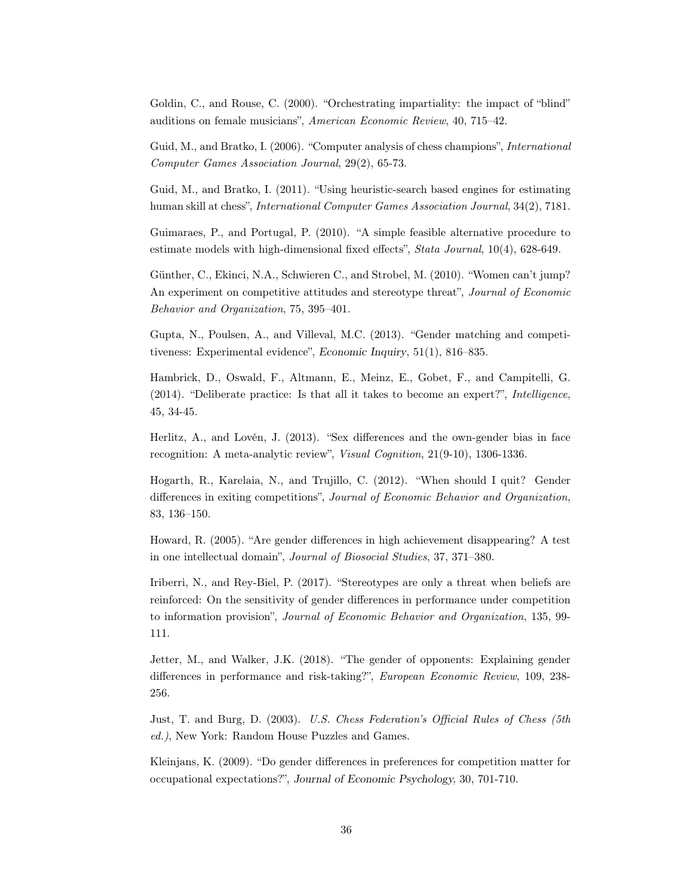Goldin, C., and Rouse, C. (2000). "Orchestrating impartiality: the impact of "blind" auditions on female musicians", American Economic Review, 40, 715–42.

Guid, M., and Bratko, I. (2006). "Computer analysis of chess champions", International Computer Games Association Journal, 29(2), 65-73.

Guid, M., and Bratko, I. (2011). "Using heuristic-search based engines for estimating human skill at chess", *International Computer Games Association Journal*,  $34(2)$ , 7181.

Guimaraes, P., and Portugal, P. (2010). "A simple feasible alternative procedure to estimate models with high-dimensional fixed effects", Stata Journal, 10(4), 628-649.

Günther, C., Ekinci, N.A., Schwieren C., and Strobel, M. (2010). "Women can't jump? An experiment on competitive attitudes and stereotype threat", Journal of Economic Behavior and Organization, 75, 395–401.

Gupta, N., Poulsen, A., and Villeval, M.C. (2013). "Gender matching and competitiveness: Experimental evidence", Economic Inquiry, 51(1), 816–835.

Hambrick, D., Oswald, F., Altmann, E., Meinz, E., Gobet, F., and Campitelli, G. (2014). "Deliberate practice: Is that all it takes to become an expert?", Intelligence, 45, 34-45.

Herlitz, A., and Lovén, J. (2013). "Sex differences and the own-gender bias in face recognition: A meta-analytic review", Visual Cognition, 21(9-10), 1306-1336.

Hogarth, R., Karelaia, N., and Trujillo, C. (2012). "When should I quit? Gender differences in exiting competitions", Journal of Economic Behavior and Organization, 83, 136–150.

Howard, R. (2005). "Are gender differences in high achievement disappearing? A test in one intellectual domain", Journal of Biosocial Studies, 37, 371–380.

Iriberri, N., and Rey-Biel, P. (2017). "Stereotypes are only a threat when beliefs are reinforced: On the sensitivity of gender differences in performance under competition to information provision", Journal of Economic Behavior and Organization, 135, 99- 111.

Jetter, M., and Walker, J.K. (2018). "The gender of opponents: Explaining gender differences in performance and risk-taking?", *European Economic Review*, 109, 238-256.

Just, T. and Burg, D. (2003). U.S. Chess Federation's Official Rules of Chess (5th ed.), New York: Random House Puzzles and Games.

Kleinjans, K. (2009). "Do gender differences in preferences for competition matter for occupational expectations?", Journal of Economic Psychology, 30, 701-710.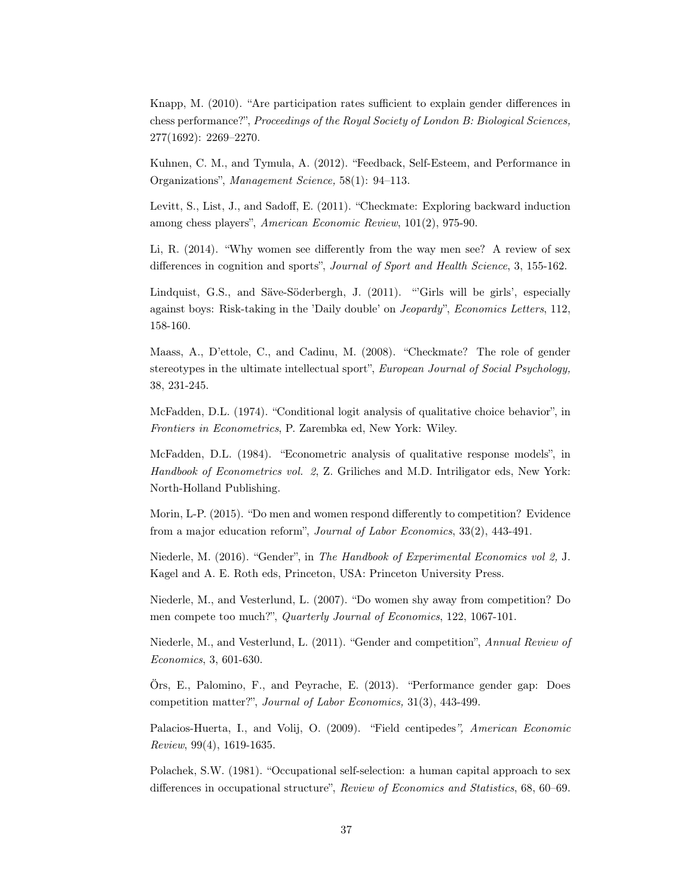Knapp, M. (2010). "Are participation rates sufficient to explain gender differences in chess performance?", Proceedings of the Royal Society of London B: Biological Sciences, 277(1692): 2269–2270.

Kuhnen, C. M., and Tymula, A. (2012). "Feedback, Self-Esteem, and Performance in Organizations", Management Science, 58(1): 94–113.

Levitt, S., List, J., and Sadoff, E. (2011). "Checkmate: Exploring backward induction among chess players", American Economic Review, 101(2), 975-90.

Li, R. (2014). "Why women see differently from the way men see? A review of sex differences in cognition and sports", Journal of Sport and Health Science, 3, 155-162.

Lindquist, G.S., and Säve-Söderbergh, J. (2011). "Girls will be girls', especially against boys: Risk-taking in the 'Daily double' on *Jeopardy*", *Economics Letters*, 112, 158-160.

Maass, A., D'ettole, C., and Cadinu, M. (2008). "Checkmate? The role of gender stereotypes in the ultimate intellectual sport", *European Journal of Social Psychology*, 38, 231-245.

McFadden, D.L. (1974). "Conditional logit analysis of qualitative choice behavior", in Frontiers in Econometrics, P. Zarembka ed, New York: Wiley.

McFadden, D.L. (1984). "Econometric analysis of qualitative response models", in Handbook of Econometrics vol. 2, Z. Griliches and M.D. Intriligator eds, New York: North-Holland Publishing.

Morin, L-P. (2015). "Do men and women respond differently to competition? Evidence from a major education reform", Journal of Labor Economics, 33(2), 443-491.

Niederle, M. (2016). "Gender", in The Handbook of Experimental Economics vol 2, J. Kagel and A. E. Roth eds, Princeton, USA: Princeton University Press.

Niederle, M., and Vesterlund, L. (2007). "Do women shy away from competition? Do men compete too much?", Quarterly Journal of Economics, 122, 1067-101.

Niederle, M., and Vesterlund, L. (2011). "Gender and competition", Annual Review of Economics, 3, 601-630.

Örs, E., Palomino, F., and Peyrache, E. (2013). "Performance gender gap: Does competition matter?", Journal of Labor Economics, 31(3), 443-499.

Palacios-Huerta, I., and Volij, O. (2009). "Field centipedes", American Economic Review, 99(4), 1619-1635.

Polachek, S.W. (1981). "Occupational self-selection: a human capital approach to sex differences in occupational structure", Review of Economics and Statistics, 68, 60–69.